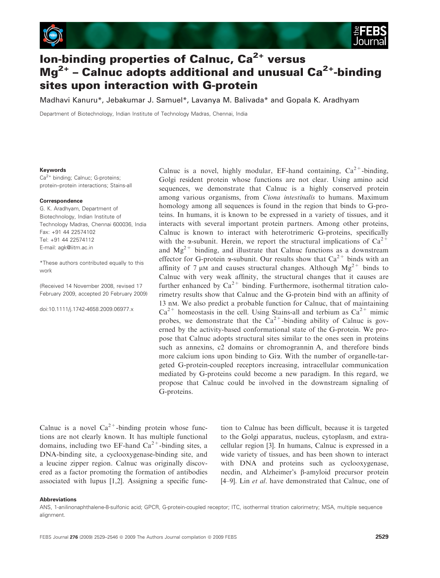

# Ion-binding properties of Calnuc,  $Ca^{2+}$  versus  $Mg^{2+}$  – Calnuc adopts additional and unusual Ca<sup>2+</sup>-binding sites upon interaction with G-protein

Madhavi Kanuru\*, Jebakumar J. Samuel\*, Lavanya M. Balivada\* and Gopala K. Aradhyam

Department of Biotechnology, Indian Institute of Technology Madras, Chennai, India

#### Keywords

Ca<sup>2+</sup> binding; Calnuc; G-proteins; protein–protein interactions; Stains-all

#### Correspondence

G. K. Aradhyam, Department of Biotechnology, Indian Institute of Technology Madras, Chennai 600036, India Fax: +91 44 22574102 Tel: +91 44 22574112 E-mail: agk@iitm.ac.in

\*These authors contributed equally to this work

(Received 14 November 2008, revised 17 February 2009, accepted 20 February 2009)

doi:10.1111/j.1742-4658.2009.06977.x

Calnuc is a novel, highly modular, EF-hand containing,  $Ca^{2+}$ -binding, Golgi resident protein whose functions are not clear. Using amino acid sequences, we demonstrate that Calnuc is a highly conserved protein among various organisms, from *Ciona intestinalis* to humans. Maximum homology among all sequences is found in the region that binds to G-proteins. In humans, it is known to be expressed in a variety of tissues, and it interacts with several important protein partners. Among other proteins, Calnuc is known to interact with heterotrimeric G-proteins, specifically with the  $\alpha$ -subunit. Herein, we report the structural implications of  $Ca^{2+}$ and  $Mg^{2+}$  binding, and illustrate that Calnuc functions as a downstream effector for G-protein  $\alpha$ -subunit. Our results show that  $Ca^{2+}$  binds with an affinity of 7  $\mu$ M and causes structural changes. Although  $Mg^{2+}$  binds to Calnuc with very weak affinity, the structural changes that it causes are further enhanced by  $Ca^{2+}$  binding. Furthermore, isothermal titration calorimetry results show that Calnuc and the G-protein bind with an affinity of 13 nm. We also predict a probable function for Calnuc, that of maintaining  $Ca^{2+}$  homeostasis in the cell. Using Stains-all and terbium as  $Ca^{2+}$  mimic probes, we demonstrate that the  $Ca^{2+}$ -binding ability of Calnuc is governed by the activity-based conformational state of the G-protein. We propose that Calnuc adopts structural sites similar to the ones seen in proteins such as annexins, c2 domains or chromogrannin A, and therefore binds more calcium ions upon binding to Gia. With the number of organelle-targeted G-protein-coupled receptors increasing, intracellular communication mediated by G-proteins could become a new paradigm. In this regard, we propose that Calnuc could be involved in the downstream signaling of G-proteins.

Calnuc is a novel  $Ca^{2+}$ -binding protein whose functions are not clearly known. It has multiple functional domains, including two EF-hand  $Ca^{2+}$ -binding sites, a DNA-binding site, a cyclooxygenase-binding site, and a leucine zipper region. Calnuc was originally discovered as a factor promoting the formation of antibodies associated with lupus [1,2]. Assigning a specific func-

tion to Calnuc has been difficult, because it is targeted to the Golgi apparatus, nucleus, cytoplasm, and extracellular region [3]. In humans, Calnuc is expressed in a wide variety of tissues, and has been shown to interact with DNA and proteins such as cyclooxygenase, necdin, and Alzheimer's β-amyloid precursor protein [4–9]. Lin *et al.* have demonstrated that Calnuc, one of

#### Abbreviations

ANS, 1-anilinonaphthalene-8-sulfonic acid; GPCR, G-protein-coupled receptor; ITC, isothermal titration calorimetry; MSA, multiple sequence alignment.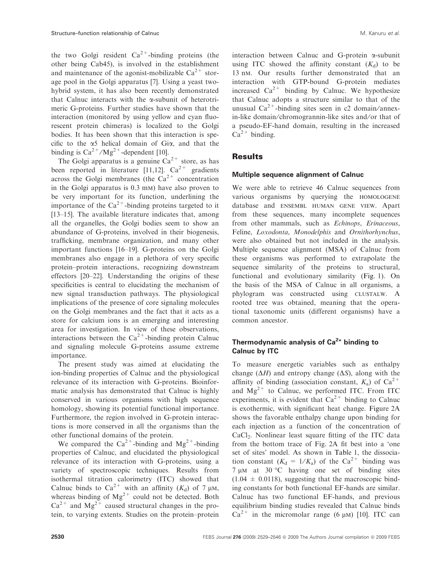the two Golgi resident  $Ca^{2+}$ -binding proteins (the other being Cab45), is involved in the establishment and maintenance of the agonist-mobilizable  $Ca^{2+}$  storage pool in the Golgi apparatus [7]. Using a yeast twohybrid system, it has also been recently demonstrated that Calnuc interacts with the  $\alpha$ -subunit of heterotrimeric G-proteins. Further studies have shown that the interaction (monitored by using yellow and cyan fluorescent protein chimeras) is localized to the Golgi bodies. It has been shown that this interaction is specific to the  $\alpha$ 5 helical domain of Gi $\alpha$ , and that the binding is  $Ca^{2+}/Mg^{2+}$ -dependent [10].

The Golgi apparatus is a genuine  $Ca^{2+}$  store, as has been reported in literature [11,12].  $Ca^{2+}$  gradients across the Golgi membranes (the  $Ca^{2+}$  concentration in the Golgi apparatus is 0.3 mm) have also proven to be very important for its function, underlining the importance of the  $Ca^{2+}$ -binding proteins targeted to it [13–15]. The available literature indicates that, among all the organelles, the Golgi bodies seem to show an abundance of G-proteins, involved in their biogenesis, trafficking, membrane organization, and many other important functions [16–19]. G-proteins on the Golgi membranes also engage in a plethora of very specific protein–protein interactions, recognizing downstream effectors [20–22]. Understanding the origins of these specificities is central to elucidating the mechanism of new signal transduction pathways. The physiological implications of the presence of core signaling molecules on the Golgi membranes and the fact that it acts as a store for calcium ions is an emerging and interesting area for investigation. In view of these observations, interactions between the  $Ca^{2+}$ -binding protein Calnuc and signaling molecule G-proteins assume extreme importance.

The present study was aimed at elucidating the ion-binding properties of Calnuc and the physiological relevance of its interaction with G-proteins. Bioinformatic analysis has demonstrated that Calnuc is highly conserved in various organisms with high sequence homology, showing its potential functional importance. Furthermore, the region involved in G-protein interactions is more conserved in all the organisms than the other functional domains of the protein.

We compared the  $Ca^{2+}$ -binding and  $Mg^{2+}$ -binding properties of Calnuc, and elucidated the physiological relevance of its interaction with G-proteins, using a variety of spectroscopic techniques. Results from isothermal titration calorimetry (ITC) showed that Calnuc binds to  $Ca^{2+}$  with an affinity  $(K_d)$  of 7  $\mu$ M, whereas binding of  $Mg^{2+}$  could not be detected. Both  $Ca^{2+}$  and  $Mg^{2+}$  caused structural changes in the protein, to varying extents. Studies on the protein–protein

interaction between Calnuc and G-protein a-subunit using ITC showed the affinity constant  $(K_d)$  to be 13 nm. Our results further demonstrated that an interaction with GTP-bound G-protein mediates increased  $Ca^{2+}$  binding by Calnuc. We hypothesize that Calnuc adopts a structure similar to that of the unusual  $Ca^{2+}$ -binding sites seen in c2 domain/annexin-like domain/chromogrannin-like sites and/or that of a pseudo-EF-hand domain, resulting in the increased  $Ca^{2+}$  binding.

# **Results**

#### Multiple sequence alignment of Calnuc

We were able to retrieve 46 Calnuc sequences from various organisms by querying the homologene database and ensembl human gene view. Apart from these sequences, many incomplete sequences from other mammals, such as *Echinops*, *Erinaceous*, Feline, *Loxodonta*, *Monodelphis* and *Ornithorhynchus*, were also obtained but not included in the analysis. Multiple sequence alignment (MSA) of Calnuc from these organisms was performed to extrapolate the sequence similarity of the proteins to structural, functional and evolutionary similarity (Fig. 1). On the basis of the MSA of Calnuc in all organisms, a phylogram was constructed using clustalw. A rooted tree was obtained, meaning that the operational taxonomic units (different organisms) have a common ancestor.

# Thermodynamic analysis of  $Ca<sup>2+</sup>$  binding to Calnuc by ITC

To measure energetic variables such as enthalpy change  $(\Delta H)$  and entropy change  $(\Delta S)$ , along with the affinity of binding (association constant,  $K_a$ ) of Ca<sup>2+</sup> and  $Mg^{2+}$  to Calnuc, we performed ITC. From ITC experiments, it is evident that  $Ca^{2+}$  binding to Calnuc is exothermic, with significant heat change. Figure 2A shows the favorable enthalpy change upon binding for each injection as a function of the concentration of CaCl<sub>2</sub>. Nonlinear least square fitting of the ITC data from the bottom trace of Fig. 2A fit best into a 'one set of sites' model. As shown in Table 1, the dissociation constant  $(K_d = 1/K_a)$  of the Ca<sup>2+</sup> binding was 7 µM at 30 °C having one set of binding sites  $(1.04 \pm 0.0118)$ , suggesting that the macroscopic binding constants for both functional EF-hands are similar. Calnuc has two functional EF-hands, and previous equilibrium binding studies revealed that Calnuc binds  $Ca^{2+}$  in the micromolar range (6  $\mu$ m) [10]. ITC can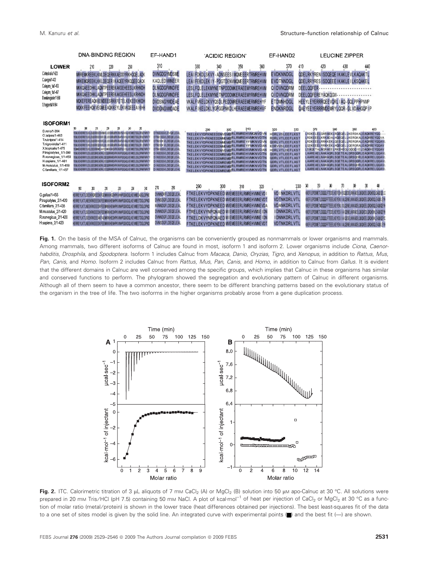|                                                                                                                                                                                                                                           | <b>DNA-BINDING REGION</b>                                                                                                                                                                                                                                                                                                                                                                                                                                                                                                                                                                                                                                                                                                                                                                                                                         | EF-HAND1                                                                                                                                                                                                        | 'ACIDIC REGION'                                                                                                                                                                                                                                                                                                                                                                                                                                  | EF-HAND2                                                                                                                                                                                                                                                                | <b>LEUCINE ZIPPER</b>                                                                                                                                                                                                                                                                                                                                                                                                                                                                                               |
|-------------------------------------------------------------------------------------------------------------------------------------------------------------------------------------------------------------------------------------------|---------------------------------------------------------------------------------------------------------------------------------------------------------------------------------------------------------------------------------------------------------------------------------------------------------------------------------------------------------------------------------------------------------------------------------------------------------------------------------------------------------------------------------------------------------------------------------------------------------------------------------------------------------------------------------------------------------------------------------------------------------------------------------------------------------------------------------------------------|-----------------------------------------------------------------------------------------------------------------------------------------------------------------------------------------------------------------|--------------------------------------------------------------------------------------------------------------------------------------------------------------------------------------------------------------------------------------------------------------------------------------------------------------------------------------------------------------------------------------------------------------------------------------------------|-------------------------------------------------------------------------------------------------------------------------------------------------------------------------------------------------------------------------------------------------------------------------|---------------------------------------------------------------------------------------------------------------------------------------------------------------------------------------------------------------------------------------------------------------------------------------------------------------------------------------------------------------------------------------------------------------------------------------------------------------------------------------------------------------------|
| <b>LOWER</b><br>Cintestinals/1423<br>C.savigyni 1432<br>Celegans 1a/1453<br>Celegars 1b/1467<br>D.melanogaster/1-569<br>S.frugiperda/1-584                                                                                                | 230<br>210<br>220<br>MRREMKREEKLKMLDEQERKKAEDOYRKHOOELADK<br>MRKEMOREEKLKKLDEGER   KACEEYRKOGEEQAOK<br>MKKOAEEDHKLADMTPEEREKAKSEHEESLKRHNDH<br>MKKOAEEDHKLADMTPEEREKAKSEHEESLKRHNDH<br>MOKEFEREADKKEMDEESRKKFETELKEKEEKHKDH<br>MOKK FEEHOK VEGMEEAOKKEYLEK VKOEEEA I KHH                                                                                                                                                                                                                                                                                                                                                                                                                                                                                                                                                                          | 310<br><b>DVNGDGYMDSME</b><br>KAQLEDWWNEER<br>DLNGDGFWNDFE<br>DLNGDGFWNDFE<br><b>DVDSNGYWDEAE</b><br><b>DVDGNGWIDADE</b>                                                                                        | 340<br>330<br>350<br>360<br>LEAI FOKDLSKVY - ADNSEES I MOMEEERTRMREHVM<br>LEAI FEKDLEK IY-PDGTDENVMOMEEERTRMREHVM<br>LESLFOLELEKMYNETNPDDOMKERAEEMYRMREHVM<br>LESLFOLELEKMYNETNPDDOMKERAEEMYRMREHVM<br>VKALFVKELDKVYOSDLPEDOMRERAEEMERMREHYF<br>VKALF IKELDKLYGPGGPNKDLHERAEEMERMREHVF                                                                                                                                                           | 370<br>410<br><b>EVDKNNDGL</b><br><b>EVDTNNDGL</b><br>QIDVNODRM<br>QIDVNODRM<br><b>ETDMNHDGL</b><br><b>ENDKNRDGL</b>                                                                                                                                                    | 420<br>430<br>440<br>QOELRKYREN ISDQEQE IKAKLEVLKAQAKTL<br>ODELRRYRES ISDOEEE IKAKLE ILKSOAKEL<br>DEELOOFER<br><br>DEELOOFEREYAOKOGW - - - - - - - - - - - - - - - - -<br>HEEYLEYERRROEEVORL IAQ-GOLPPHPNMP<br>QAEYEEYERRRMDEMRYLOOR - GLVDAHGOP IP                                                                                                                                                                                                                                                                 |
| <b>ISOFORM1</b><br>D.rerio/1-384<br>O.latipes/1-463<br>T.rubripes/1-414<br>T.nigroviridis/1-411<br>X.tropicalis/1-475<br>P.troglodytes 1/1-390<br>R.norvegicus 1/1-459<br>H.sapiens 1/1-461<br>M.musculus 1/1-459<br>C.familiaris 1/1-457 | 211<br>200<br>20<br>zo<br>240<br>ж<br>YEAR AS HERE YOU SUITE AS ENDING A REPORT OF THE RESIDENCE AND TO CONTRACT<br>YEN KEVERKEYLV SLOGKIREKEKR I DEL KEVARDARININ ARBITOOLEK INDEPERTENT.<br>YEN, KEYEKEYLV SUDDEKRE-EEKRLOE, KEKYADYAWWAGE, KOLPEWIEETOG, DROEPVANT-<br>YEN, KEVERKEYLPSLOGKREGEDEKKLOEL FEMRIO/PKVN ARBS AQLOE WEETDOLDPLERARITY<br>IEMAEHEREYLISJEEKRIVEEA/FEBAKKIN EHAKWIPOS ODJE WEETDOJPNERIPKT-<br>FIX KEHERRYK ESLOEEORE KERKLEEDORINEHPK WVPOSOADLKEIMEELDG, OPMRFAPKT<br>THE KEVARANTE EST CATEGORE AT ANY OF CONDUCTANCY AND CONFIDENCE THAT A LOCAL CATEGORY T<br>YEN, KEHERRAYY, ESI, GEEGRIE AERKI, FEQQARMEMPK WVPGEGAD, KEIMEELDG, SPNAPAPKT-<br>YEM KEVERREY) ESSIGEFORE AFRIC OFODRIVIRE VELVISIONOS (E WEEL DO OPAREVEST<br>YEM, KEHERRAYI, ESI GEEQRIE AERKI, FEQORINGEHPK WVPGEQAQI, KEHMEELDGI, SPARFAPKT? | DTNSDGVLDVDELEAL<br>DTNEDGVLDEQELEAL<br>DTNOOKVLDEGELEAL<br>DTNDOKVLDEQELEA<br>DTN:DGVLDEQELEA<br><b>DINSOCVLOEDELEA</b><br>D INSOGVLDEQELEA:<br>DINSOGVLDEQELEAL<br>DINSOGVLOEGELEA<br><b>DINSOGVLDEQELEAL</b> | 310<br>290<br>$300$ .<br>TKELEKVYDPKNEEDDMVEMERLRMREHVMONVDVN<br>TKELEKVYNPKNEEDDMAEMERLRMREHVMKNVDTN<br>TKELEK VYDPKNEEDDMAEMERLRMREYFMKNVDVN<br>TKELEKVYDPKNEEDDMMEMERLRMREYFMKNVDAN<br>TKELEK VYDPKNEEDOMVEMERLRMREH VMKN VD AN<br>TKELEKVYDPKNEEDDMREMERLRMREHVMKNVDTN<br>TKELEKVYDPKNEEDDMREMERLRMREHVMKNVDTN<br>TKELEK VYDPKNEEDDMREMERLRMREHVMKN VDTN<br>TKELEK VYDPKNEEDDMREMERLRMREHVMKNVDTN<br>TKELEK VYDPKNEEDDAREMERLRMREH VMKN VDTN | 320<br>330<br><b>HDRLVSLEEFLKST</b><br><b>RDRLVTLEEFLKST</b><br><b>QDRL VTLEEFLKST</b><br><b>KDRVVSLEEFLKST</b><br><b>HDRLVTLDEFLKST</b><br><b>QDRLVTLEEFLAST</b><br><b>QDRLVTLEEFLAST</b><br><b>QDRL VTLEEFLAST</b><br><b>QDRLVTLEEFLAST</b><br><b>QDRL VTLEEFLAST</b> | 380<br>390<br>400<br>370<br>ERDKELELGRRAEKLROEGELEKERSKALEAOKREYDO<br>LRDKEEELKRKADALHOEGELLKERGKALEAORREYOOVA<br>LRDKEE ELRRKKEKLOEE OEL LRERGRALEADRREYDOAV<br>LODKEE ELRRKKEKLHOEGEL LOERGRALEADRREYDOAY<br>LSAGETALNORAEELRKEHEOLOOOGIELDAGKKEYOQA1<br>AAREAELNAKAQRLSQETEALGRSQGRLEAQKRELQQAV<br>AAREAELNARAQRLSQETEALGRSQDRLEAQKRELQQAV<br>AARE AELNAK AQRL SOETE ALGRSOGRLE AQKRELOOAV<br>AAREAELNARAQRLSQETEALGRSQORLEAQKRELQQAV<br>LAARE AE LNAK AQRL SOE TE ALGRSQGRL EAQKREL OQA V                       |
| <b>ISOFORM2</b><br>G.gallus/1-455<br>P.troglodytes_2/1-420<br>C.familiaris 2/1-435<br>M.musculus 2/1-420<br>R.norvegicus_2/1-420<br>H.sapiens_2/1-420                                                                                     | 20<br>20)<br>210<br>-230<br>20<br>HERREYLKTLDEEKROFEESKFGEINXXXHGBHPKIIHHPGSKDQLKEVNEEADGLDPNE<br>HERREYLKTI, MEEKRICEEESK FEEMIXXXHENHAK INHPOSICIOLKE WIEETDGLOPMO<br>HERREYLKTLNEEKRKEEESRFEENFKKHENHPKVNHPGSKOOLKEVNEETDGLOPNO<br>HERREYLKTLSEEKRKEEESKFEEMARKHEDHPK INHPOSKOOLKE WIEETOGLOPNO<br>HERREYLKTI.SEEKRKEEE AKFAEMKRINEDHPK INHPOSKOOLKE WIEETOGLOPNO<br>HERRE YLKTI, NEEKRICEEESK FEEMKKKHENHPK INHPOSKOOLKE WIEETOGLOPNO                                                                                                                                                                                                                                                                                                                                                                                                         | 280<br>270<br><b>DVINIORFLOEDELEAL</b><br>DVNSDGFLDEQELEAL<br>NWNDGFLDEQELEAL<br>DVMNDGFLDEQELEAL<br>DVMNOGFLDEQELEAL<br>DVNSDGFLDEQELEA                                                                        | 290<br>300<br>310<br>320<br>FTKELEKVYDPKNEED MVEMEEERLRMREHVMNEVD I<br>FTKELEKVYDPKNEED IN ENEEERLRIJREHVIJNEVDT<br>FTKELEKVYDPKNEED MVEMEEERLRMREHVMNEVDA<br>FTRELEK VYNPONAED MIEMEEERLRMREHVMSE IDN<br>F TKELDK VYNPON AED MIEMEEERLRMREHVMNE IDN<br>F TKELEK VYDPKNEED MVEMEEERLRMREHVMNEVDT                                                                                                                                                 | 330<br><b>VD INKDRLVTL</b><br><b>VDTNKDRLVTL</b><br><b>VDANKDRLVTL</b><br><b>I DNNKDRLVTL</b><br><b>I DNNKDRLVTL</b><br>VDTNKDRLVTL                                                                                                                                     | 370 380 390 400<br>$\frac{10}{2}$<br>$\mathfrak{M}$<br>M<br>WEFLEROSIETLOODOLFTEDELKEFES-IS ODEDELRIKAEELOKOKEELOROHDOLCADEDELC<br>KKEFLEROSWETLOODDFFTEEELKEYENII I.ALOENELKKKAOFLOKOKFELOROHOOLFAOKI EYH<br>KKEFLEROSKETNOODDFFTEEELKEYENL ISLOENELKKK ADELOKOKEELORDHOOLEADKDEYK<br>KKEFLEROSWETLOOOD FTROELKEWES I I A OENELKKRAFFLOKOKROLOROHO-LEADKOEW<br>KKÉFLEPOSNÉTLODODÍ FTEEELKÉVÉS I I.A. OESÉLKKA ADELŐKDKÉELŐROHO-LEADKDEV.<br>KKEFLEPOSNETLOODDFFTEEELKEYENI I ALOENELKKKADELOKOKEELORDHOOLEADKI EYK |

Fig. 1. On the basis of the MSA of Calnuc, the organisms can be conveniently grouped as nonmammals or lower organisms and mammals. Among mammals, two different isoforms of Calnuc are found in most, isoform 1 and isoform 2. Lower organisms include Ciona, Caenorhabditis, Drosphila, and Spodoptera. Isoform 1 includes Calnuc from Macaca, Danio, Oryzias, Tigro, and Xenopus, in addition to Rattus, Mus, Pan, Canis, and Homo. Isoform 2 includes Calnuc from Rattus, Mus, Pan, Canis, and Homo, in addition to Calnuc from Gallus. It is evident that the different domains in Calnuc are well conserved among the specific groups, which implies that Calnuc in these organisms has similar and conserved functions to perform. The phylogram showed the segregation and evolutionary pattern of Calnuc in different organisms. Although all of them seem to have a common ancestor, there seem to be different branching patterns based on the evolutionary status of the organism in the tree of life. The two isoforms in the higher organisms probably arose from a gene duplication process.



Fig. 2. ITC. Calorimetric titration of 3 μL aliquots of 7 mm CaCl<sub>2</sub> (A) or MgCl<sub>2</sub> (B) solution into 50 μm apo-Calnuc at 30 °C. All solutions were prepared in 20 mm Tris/HCl (pH 7.5) containing 50 mm NaCl. A plot of kcal·mol<sup>-1</sup> of heat per injection of CaCl<sub>2</sub> or MgCl<sub>2</sub> at 30 °C as a function of molar ratio (metal ⁄ protein) is shown in the lower trace (heat differences obtained per injections). The best least-squares fit of the data to a one set of sites model is given by the solid line. An integrated curve with experimental points  $\Box$ ) and the best fit  $\Box$ ) are shown.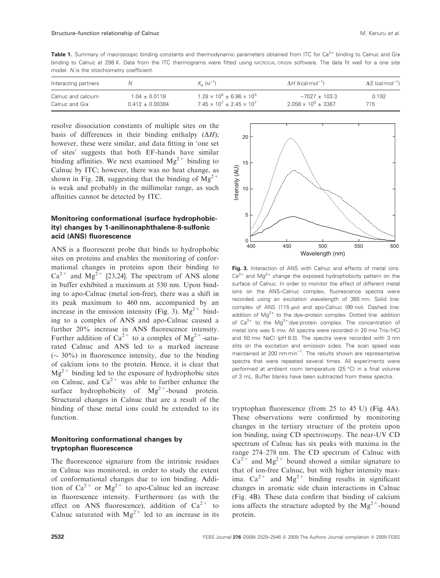Table 1. Summary of macroscopic binding constants and thermodynamic parameters obtained from ITC for Ca<sup>2+</sup> binding to Calnuc and Gia binding to Calnuc at 298 K. Data from the ITC thermograms were fitted using MICROCAL ORIGIN software. The data fit well for a one site model. N is the stoichiometry coefficient.

| Interacting partners |                   | $K_{2}$ ( $M^{-1}$ )                    | $\Delta H$ (kcal·mol <sup>-1</sup> ) | $\Delta S$ (cal-mol <sup>-1</sup> ) |
|----------------------|-------------------|-----------------------------------------|--------------------------------------|-------------------------------------|
| Calnuc and calcium   | $1.04 \pm 0.0118$ | $1.28 \times 10^5 \pm 6.96 \times 10^3$ | $-7027 + 103.3$                      | 0.192                               |
| Calnuc and Gia       | $0.412 + 0.00384$ | $7.45 \times 10^7 \pm 2.45 \times 10^7$ | $2.058 \times 10^5 \pm 3367$         | 715                                 |

resolve dissociation constants of multiple sites on the basis of differences in their binding enthalpy  $(\Delta H)$ ; however, these were similar, and data fitting in 'one set of sites' suggests that both EF-hands have similar binding affinities. We next examined  $Mg^{2+}$  binding to Calnuc by ITC; however, there was no heat change, as shown in Fig. 2B, suggesting that the binding of  $\text{Mg}^{2+}$ is weak and probably in the millimolar range, as such affinities cannot be detected by ITC.

# Monitoring conformational (surface hydrophobicity) changes by 1-anilinonaphthalene-8-sulfonic acid (ANS) fluorescence

ANS is a fluorescent probe that binds to hydrophobic sites on proteins and enables the monitoring of conformational changes in proteins upon their binding to  $Ca^{2+}$  and Mg<sup>2+</sup> [23,24]. The spectrum of ANS alone in buffer exhibited a maximum at 530 nm. Upon binding to apo-Calnuc (metal ion-free), there was a shift in its peak maximum to 460 nm, accompanied by an increase in the emission intensity (Fig. 3).  $Mg^{2+}$  binding to a complex of ANS and apo-Calnuc caused a further  $20\%$  increase in ANS fluorescence intensity. Further addition of  $Ca^{2+}$  to a complex of  $Mg^{2+}$ -saturated Calnuc and ANS led to a marked increase  $({\sim} 30\%)$  in fluorescence intensity, due to the binding of calcium ions to the protein. Hence, it is clear that  $Mg^{2+}$  binding led to the exposure of hydrophobic sites on Calnuc, and  $Ca^{2+}$  was able to further enhance the surface hydrophobicity of  $Mg^{2+}$ -bound protein. Structural changes in Calnuc that are a result of the binding of these metal ions could be extended to its function.

# Monitoring conformational changes by tryptophan fluorescence

The fluorescence signature from the intrinsic residues in Calnuc was monitored, in order to study the extent of conformational changes due to ion binding. Addition of  $Ca^{2+}$  or  $Mg^{2+}$  to apo-Calnuc led an increase in fluorescence intensity. Furthermore (as with the effect on ANS fluorescence), addition of  $Ca^{2+}$  to Calnuc saturated with  $Mg^{2+}$  led to an increase in its



Fig. 3. Interaction of ANS with Calnuc and effects of metal ions.  $Ca<sup>2+</sup>$  and  $Ma<sup>2+</sup>$  change the exposed hydrophobicity pattern on the surface of Calnuc. In order to monitor the effect of different metal ions on the ANS–Calnuc complex, fluorescence spectra were recorded using an excitation wavelength of 365 nm. Solid line: complex of ANS (115 µM) and apo-Calnuc (99 nM). Dashed line: addition of  $Mg^{2+}$  to the dye–protein complex. Dotted line: addition of  $Ca^{2+}$  to the Mg<sup>2+</sup>:dye:protein complex. The concentration of metal ions was 5 mm. All spectra were recorded in 20 mm Tris/HCl and 50 mM NaCl (pH 8.0). The spectra were recorded with 3 nm slits on the excitation and emission sides. The scan speed was maintained at 200  $n m·min^{-1}$ . The results shown are representative spectra that were repeated several times. All experiments were performed at ambient room temperature (25 °C) in a final volume of 3 mL. Buffer blanks have been subtracted from these spectra.

tryptophan fluorescence (from 25 to 45 U) (Fig. 4A). These observations were confirmed by monitoring changes in the tertiary structure of the protein upon ion binding, using CD spectroscopy. The near-UV CD spectrum of Calnuc has six peaks with maxima in the range 274–278 nm. The CD spectrum of Calnuc with  $Ca^{2+}$  and  $Mg^{2+}$  bound showed a similar signature to that of ion-free Calnuc, but with higher intensity maxima.  $Ca^{2+}$  and  $Mg^{2+}$  binding results in significant changes in aromatic side chain interactions in Calnuc (Fig. 4B). These data confirm that binding of calcium ions affects the structure adopted by the  $Mg^{2+}$ -bound protein.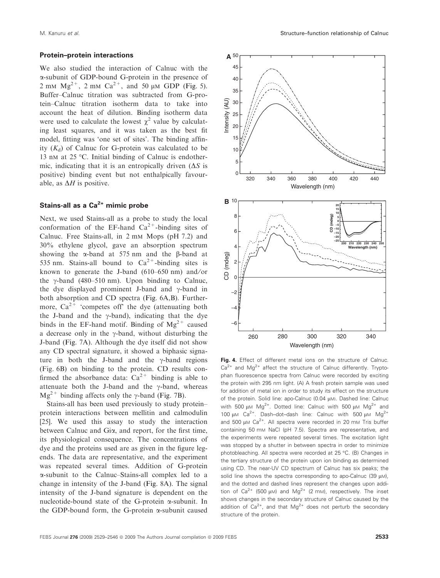#### Protein–protein interactions

We also studied the interaction of Calnuc with the a-subunit of GDP-bound G-protein in the presence of 2 mm  $Mg^{2+}$ , 2 mm  $Ca^{2+}$ , and 50 µm GDP (Fig. 5). Buffer–Calnuc titration was subtracted from G-protein–Calnuc titration isotherm data to take into account the heat of dilution. Binding isotherm data were used to calculate the lowest  $\chi^2$  value by calculating least squares, and it was taken as the best fit model, fitting was 'one set of sites'. The binding affinity  $(K_d)$  of Calnuc for G-protein was calculated to be 13 nm at 25 °C. Initial binding of Calnuc is endothermic, indicating that it is an entropically driven  $(\Delta S)$  is positive) binding event but not enthalpically favourable, as  $\Delta H$  is positive.

# Stains-all as a  $Ca<sup>2+</sup>$  mimic probe

Next, we used Stains-all as a probe to study the local conformation of the EF-hand  $Ca^{2+}$ -binding sites of Calnuc. Free Stains-all, in 2 mm Mops (pH 7.2) and 30% ethylene glycol, gave an absorption spectrum showing the  $\alpha$ -band at 575 nm and the  $\beta$ -band at 535 nm. Stains-all bound to  $Ca^{2+}$ -binding sites is known to generate the J-band  $(610-650 \text{ nm})$  and/or the  $\gamma$ -band (480–510 nm). Upon binding to Calnuc, the dye displayed prominent J-band and  $\gamma$ -band in both absorption and CD spectra (Fig. 6A,B). Furthermore,  $Ca^{2+}$  'competes off' the dye (attenuating both the J-band and the  $\gamma$ -band), indicating that the dye binds in the EF-hand motif. Binding of  $Mg^{2+}$  caused a decrease only in the  $\gamma$ -band, without disturbing the J-band (Fig. 7A). Although the dye itself did not show any CD spectral signature, it showed a biphasic signature in both the J-band and the  $\gamma$ -band regions (Fig. 6B) on binding to the protein. CD results confirmed the absorbance data:  $Ca^{2+}$  binding is able to attenuate both the J-band and the  $\gamma$ -band, whereas  $Mg^{2+}$  binding affects only the  $\gamma$ -band (Fig. 7B).

Stains-all has been used previously to study protein– protein interactions between mellitin and calmodulin [25]. We used this assay to study the interaction between Calnuc and Gia, and report, for the first time, its physiological consequence. The concentrations of dye and the proteins used are as given in the figure legends. The data are representative, and the experiment was repeated several times. Addition of G-protein a-subunit to the Calnuc–Stains-all complex led to a change in intensity of the J-band (Fig. 8A). The signal intensity of the J-band signature is dependent on the nucleotide-bound state of the G-protein  $\alpha$ -subunit. In the GDP-bound form, the G-protein  $\alpha$ -subunit caused



Fig. 4. Effect of different metal ions on the structure of Calnuc.  $Ca<sup>2+</sup>$  and  $Mg<sup>2+</sup>$  affect the structure of Calnuc differently. Tryptophan fluorescence spectra from Calnuc were recorded by exciting the protein with 295 nm light. (A) A fresh protein sample was used for addition of metal ion in order to study its effect on the structure of the protein. Solid line: apo-Calnuc (0.04 µM). Dashed line: Calnuc with 500  $\mu$ M Mg<sup>2+</sup>. Dotted line: Calnuc with 500  $\mu$ M Mg<sup>2+</sup> and 100  $\mu$ M Ca<sup>2+</sup>. Dash-dot-dash line: Calnuc with 500  $\mu$ M Mg<sup>2+</sup> and 500  $\mu$ M Ca<sup>2+</sup>. All spectra were recorded in 20 mM Tris buffer containing 50 mM NaCl (pH 7.5). Spectra are representative, and the experiments were repeated several times. The excitation light was stopped by a shutter in between spectra in order to minimize photobleaching. All spectra were recorded at 25 °C. (B) Changes in the tertiary structure of the protein upon ion binding as determined using CD. The near-UV CD spectrum of Calnuc has six peaks; the solid line shows the spectra corresponding to apo-Calnuc  $(39 \mu M)$ , and the dotted and dashed lines represent the changes upon addition of  $Ca^{2+}$  (500  $\mu$ M) and Mg<sup>2+</sup> (2 mM), respectively. The inset shows changes in the secondary structure of Calnuc caused by the addition of  $Ca^{2+}$ , and that  $Ma^{2+}$  does not perturb the secondary structure of the protein.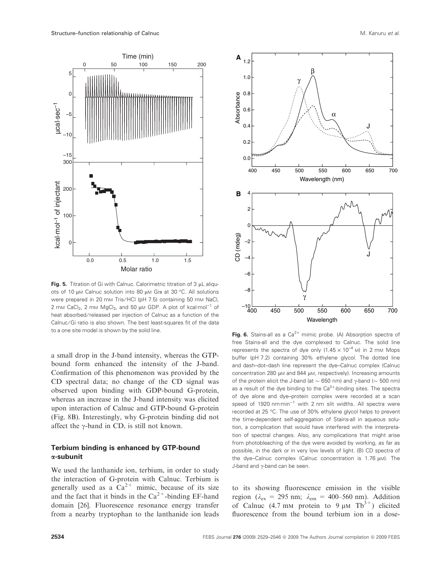

Fig. 5. Titration of Gi with Calnuc. Calorimetric titration of 3  $\mu$ L aliquots of 10 μM Calnuc solution into 80 μM Giα at 30 °C. All solutions were prepared in 20 mm Tris/HCl (pH 7.5) containing 50 mm NaCl, 2 mm CaCl<sub>2</sub>, 2 mm MgCl<sub>2</sub>, and 50  $\mu$ m GDP. A plot of kcal·mol<sup>-1</sup> of heat absorbed/released per injection of Calnuc as a function of the Calnuc/Gi ratio is also shown. The best least-squares fit of the data to a one site model is shown by the solid line.

a small drop in the J-band intensity, whereas the GTPbound form enhanced the intensity of the J-band. Confirmation of this phenomenon was provided by the CD spectral data; no change of the CD signal was observed upon binding with GDP-bound G-protein, whereas an increase in the J-band intensity was elicited upon interaction of Calnuc and GTP-bound G-protein (Fig. 8B). Interestingly, why G-protein binding did not affect the  $\gamma$ -band in CD, is still not known.

# Terbium binding is enhanced by GTP-bound  $\alpha$ -subunit

We used the lanthanide ion, terbium, in order to study the interaction of G-protein with Calnuc. Terbium is generally used as a  $Ca^{2+}$  mimic, because of its size and the fact that it binds in the  $Ca^{2+}$ -binding EF-hand domain [26]. Fluorescence resonance energy transfer from a nearby tryptophan to the lanthanide ion leads



Fig. 6. Stains-all as a  $Ca^{2+}$  mimic probe. (A) Absorption spectra of free Stains-all and the dye complexed to Calnuc. The solid line represents the spectra of dye only  $(1.45 \times 10^{-4} \text{ M})$  in 2 mm Mops buffer (pH 7.2) containing 30% ethylene glycol. The dotted line and dash–dot–dash line represent the dye–Calnuc complex (Calnuc concentration 280  $\mu$ M and 844  $\mu$ M, respectively). Increasing amounts of the protein elicit the J-band (at  $\sim$  650 nm) and  $\gamma$ -band ( $\sim$  500 nm) as a result of the dye binding to the  $Ca<sup>2+</sup>$ -binding sites. The spectra of dye alone and dye–protein complex were recorded at a scan speed of 1920  $n$ m·min<sup>-1</sup> with 2 nm slit widths. All spectra were recorded at 25 °C. The use of 30% ethylene glycol helps to prevent the time-dependent self-aggregation of Stains-all in aqueous solution, a complication that would have interfered with the interpretation of spectral changes. Also, any complications that might arise from photobleaching of the dye were avoided by working, as far as possible, in the dark or in very low levels of light. (B) CD spectra of the dye–Calnuc complex (Calnuc concentration is  $1.76 \mu M$ ). The J-band and  $\gamma$ -band can be seen.

400 450 500 550 600 650 700

γ

Wavelength

–10

CD (mdeg)

B

Absorbance

to its showing fluorescence emission in the visible region ( $\lambda_{\text{ex}} = 295$  nm;  $\lambda_{\text{em}} = 400-560$  nm). Addition of Calnuc (4.7 mm protein to 9  $\mu$ m Tb<sup>3+</sup>) elicited fluorescence from the bound terbium ion in a dose-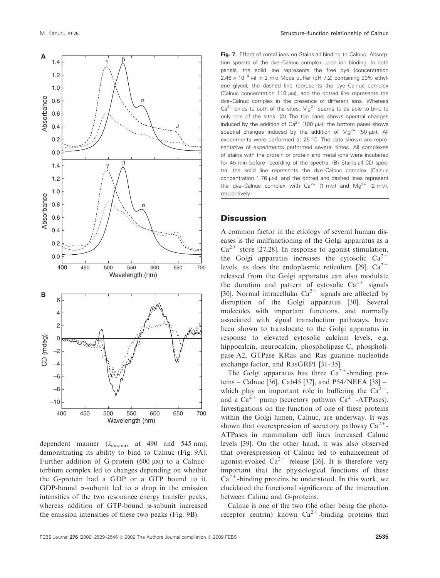

dependent manner ( $\lambda_{em,max}$  at 490 and 545 nm), demonstrating its ability to bind to Calnuc (Fig. 9A). Further addition of G-protein (600  $\mu$ M) to a Calnuc– terbium complex led to changes depending on whether the G-protein had a GDP or a GTP bound to it. GDP-bound  $\alpha$ -subunit led to a drop in the emission intensities of the two resonance energy transfer peaks, whereas addition of GTP-bound  $\alpha$ -subunit increased the emission intensities of these two peaks (Fig. 9B).

tion spectra of the dye–Calnuc complex upon ion binding. In both panels, the solid line represents the free dye (concentration  $2.46 \times 10^{-4}$  M) in 2 mM Mops buffer (pH 7.2) containing 30% ethylene glycol, the dashed line represents the dye–Calnuc complex (Calnuc concentration 110  $\mu$ M), and the dotted line represents the dye–Calnuc complex in the presence of different ions. Whereas  $Ca<sup>2+</sup>$  binds to both of the sites, Mg<sup>2+</sup> seems to be able to bind to only one of the sites. (A) The top panel shows spectral changes induced by the addition of Ca<sup>2+</sup> (100  $\mu$ M); the bottom panel shows spectral changes induced by the addition of  $Mg^{2+}$  (50  $\mu$ M). All experiments were performed at 25 °C. The data shown are representative of experiments performed several times. All complexes of stains with the protein or protein and metal ions were incubated for 45 min before recording of the spectra. (B) Stains-all CD spectra; the solid line represents the dye–Calnuc complex (Calnuc concentration 1.76  $\mu$ M), and the dotted and dashed lines represent the dye–Calnuc complex with  $Ca^{2+}$  (1 mm) and Mg<sup>2+</sup> (2 mm), respectively.

# **Discussion**

A common factor in the etiology of several human diseases is the malfunctioning of the Golgi apparatus as a  $Ca^{2+}$  store [27,28]. In response to agonist stimulation, the Golgi apparatus increases the cytosolic  $Ca^{2+}$ levels, as does the endoplasmic reticulum [29].  $Ca^{2+}$ released from the Golgi apparatus can also modulate the duration and pattern of cytosolic  $Ca^{2+}$  signals [30]. Normal intracellular  $Ca^{2+}$  signals are affected by disruption of the Golgi apparatus [30]. Several molecules with important functions, and normally associated with signal transduction pathways, have been shown to translocate to the Golgi apparatus in response to elevated cytosolic calcium levels, e.g. hippocalcin, neurocalcin, phospholipase C, phospholipase A2, GTPase KRas and Ras guanine nucleotide exchange factor, and RasGRP1 [31–35].

The Golgi apparatus has three  $Ca^{2+}$ -binding proteins – Calnuc [36], Cab45 [37], and P54/NEFA [38] – which play an important role in buffering the  $Ca^{2+}$ . and a  $Ca^{2+}$  pump (secretory pathway  $Ca^{2+}$ -ATPases). Investigations on the function of one of these proteins within the Golgi lumen, Calnuc, are underway. It was shown that overexpression of secretory pathway  $Ca^{2+}$ -ATPases in mammalian cell lines increased Calnuc levels [39]. On the other hand, it was also observed that overexpression of Calnuc led to enhancement of agonist-evoked  $Ca^{2+}$  release [36]. It is therefore very important that the physiological functions of these  $Ca^{2+}$ -binding proteins be understood. In this work, we elucidated the functional significance of the interaction between Calnuc and G-proteins.

Calnuc is one of the two (the other being the photoreceptor centrin) known  $Ca^{2+}$ -binding proteins that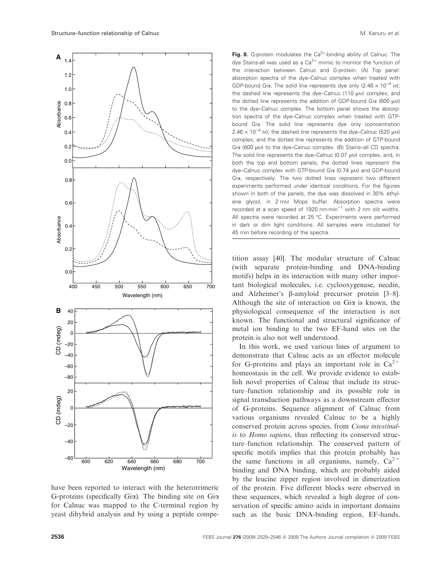

have been reported to interact with the heterotrimeric G-proteins (specifically  $Gi\alpha$ ). The binding site on  $Gi\alpha$ for Calnuc was mapped to the C-terminal region by yeast dihybrid analysis and by using a peptide compe-

Fig. 8. G-protein modulates the  $Ca^{2+}$ -binding ability of Calnuc. The dye Stains-all was used as a  $Ca<sup>2+</sup>$  mimic to monitor the function of the interaction between Calnuc and G-protein. (A) Top panel: absorption spectra of the dye–Calnuc complex when treated with GDP-bound Gia. The solid line represents dye only (2.46  $\times$  10<sup>-4</sup> M); the dashed line represents the dye–Calnuc (110  $\mu$ M) complex; and the dotted line represents the addition of GDP-bound Gi $\alpha$  (600  $\mu$ M) to the dye–Calnuc complex. The bottom panel shows the absorption spectra of the dye–Calnuc complex when treated with GTPbound Gia. The solid line represents dye only (concentration  $2.46 \times 10^{-4}$  M); the dashed line represents the dye-Calnuc (520 µM) complex; and the dotted line represents the addition of GTP-bound Giα (600 μM) to the dye–Calnuc complex. (B) Stains–all CD spectra. The solid line represents the dye–Calnuc (0.07  $\mu$ M) complex, and, in both the top and bottom panels, the dotted lines represent the dye–Calnuc complex with GTP-bound Gi $\alpha$  (0.74  $\mu$ M) and GDP-bound Gia, respectively. The two dotted lines represent two different experiments performed under identical conditions. For the figures shown in both of the panels, the dye was dissolved in 30% ethylene glycol, in 2 mM Mops buffer. Absorption spectra were recorded at a scan speed of 1920  $nm·min^{-1}$  with 2 nm slit widths. All spectra were recorded at 25 °C. Experiments were performed in dark or dim light conditions. All samples were incubated for 45 min before recording of the spectra.

tition assay [40]. The modular structure of Calnuc (with separate protein-binding and DNA-binding motifs) helps in its interaction with many other important biological molecules, i.e. cyclooxygenase, necdin, and Alzheimer's  $\beta$ -amyloid precursor protein [3-8]. Although the site of interaction on Gia is known, the physiological consequence of the interaction is not known. The functional and structural significance of metal ion binding to the two EF-hand sites on the protein is also not well understood.

In this work, we used various lines of argument to demonstrate that Calnuc acts as an effector molecule for G-proteins and plays an important role in  $Ca^{2+}$ homeostasis in the cell. We provide evidence to establish novel properties of Calnuc that include its structure–function relationship and its possible role in signal transduction pathways as a downstream effector of G-proteins. Sequence alignment of Calnuc from various organisms revealed Calnuc to be a highly conserved protein across species, from *Ciona intestinalis* to *Homo sapiens*, thus reflecting its conserved structure–function relationship*.* The conserved pattern of specific motifs implies that this protein probably has the same functions in all organisms, namely,  $Ca^{2+}$ binding and DNA binding, which are probably aided by the leucine zipper region involved in dimerization of the protein. Five different blocks were observed in these sequences, which revealed a high degree of conservation of specific amino acids in important domains such as the basic DNA-binding region, EF-hands,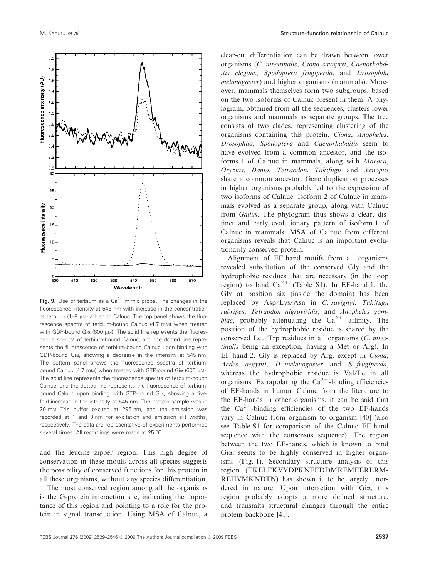$500$ 570 510 520 530 540 550 560 Wavelength Fig. 9. Use of terbium as a  $Ca^{2+}$  mimic probe. The changes in the fluorescence intensity at 545 nm with increase in the concentration of terbium  $(1-9 \text{ u})$  added to Calnuc. The top panel shows the fluorescence spectra of terbium-bound Calnuc (4.7 mM) when treated

with GDP-bound Gi $\alpha$  (600  $\mu$ M). The solid line represents the fluorescence spectra of terbium-bound Calnuc, and the dotted line represents the fluorescence of terbium-bound Calnuc upon binding with GDP-bound Gia, showing a decrease in the intensity at 545 nm. The bottom panel shows the fluorescence spectra of terbiumbound Calnuc (4.7 mm) when treated with GTP-bound Gi $\alpha$  (600  $\mu$ m). The solid line represents the fluorescence spectra of terbium-bound Calnuc, and the dotted line represents the fluorescence of terbiumbound Calnuc upon binding with GTP-bound Gia, showing a fivefold increase in the intensity at 545 nm. The protein sample was in 20 mM Tris buffer excited at 295 nm, and the emission was recorded at 1 and 3 nm for excitation and emission slit widths, respectively. The data are representative of experiments performed several times. All recordings were made at 25 °C.

and the leucine zipper region. This high degree of conservation in these motifs across all species suggests the possibility of conserved functions for this protein in all these organisms, without any species differentiation.

The most conserved region among all the organisms is the G-protein interaction site, indicating the importance of this region and pointing to a role for the protein in signal transduction. Using MSA of Calnuc, a

clear-cut differentiation can be drawn between lower organisms (*C. intestinalis*, *Ciona savignyi*, *Caenorhabditis elegans*, *Spodoptera frugiperda*, and *Drosophila melanogaster*) and higher organisms (mammals). Moreover, mammals themselves form two subgroups, based on the two isoforms of Calnuc present in them. A phylogram, obtained from all the sequences, clusters lower organisms and mammals as separate groups. The tree consists of two clades, representing clustering of the organisms containing this protein. *Ciona*, *Anopheles*, *Drosophila*, *Spodoptera* and *Caenorhabditis* seem to have evolved from a common ancestor, and the isoforms 1 of Calnuc in mammals, along with *Macaca*, *Oryzias*, *Danio*, *Tetraodon*, *Takifugu* and *Xenopus* share a common ancestor. Gene duplication processes in higher organisms probably led to the expression of two isoforms of Calnuc. Isoform 2 of Calnuc in mammals evolved as a separate group, along with Calnuc from *Gallus*. The phylogram thus shows a clear, distinct and early evolutionary pattern of isoform 1 of Calnuc in mammals. MSA of Calnuc from different organisms reveals that Calnuc is an important evolutionarily conserved protein.

Alignment of EF-hand motifs from all organisms revealed substitution of the conserved Gly and the hydrophobic residues that are necessary (in the loop region) to bind  $Ca^{2+}$  (Table S1). In EF-hand 1, the Gly at position six (inside the domain) has been replaced by Asp/Lys/Asn in *C. savignyi*, *Takifugu rubripes*, *Tetraodon nigroviridis*, and *Anopheles gambiae*, probably attenuating the  $Ca^{2+}$  affinity. The position of the hydrophobic residue is shared by the conserved Leu/Trp residues in all organisms (*C. intestinalis* being an exception, having a Met or Arg)*.* In EF-hand 2, Gly is replaced by Arg, except in *Ciona*, *Aedes aegypti*, *D. melanogaster* and *S. frugiperda*, whereas the hydrophobic residue is Val/Ile in all organisms. Extrapolating the  $Ca^{2+}$ -binding efficiencies of EF-hands in human Calnuc from the literature to the EF-hands in other organisms, it can be said that the  $Ca^{2+}$ -binding efficiencies of the two EF-hands vary in Calnuc from organism to organism [40] (also see Table S1 for comparison of the Calnuc EF-hand sequence with the consensus sequence). The region between the two EF-hands, which is known to bind Gia, seems to be highly conserved in higher organisms (Fig. 1). Secondary structure analysis of this region (TKELEKVYDPKNEEDDMREMEERLRM-REHVMKNDTN) has shown it to be largely unordered in nature. Upon interaction with Gia, this region probably adopts a more defined structure, and transmits structural changes through the entire protein backbone [41].

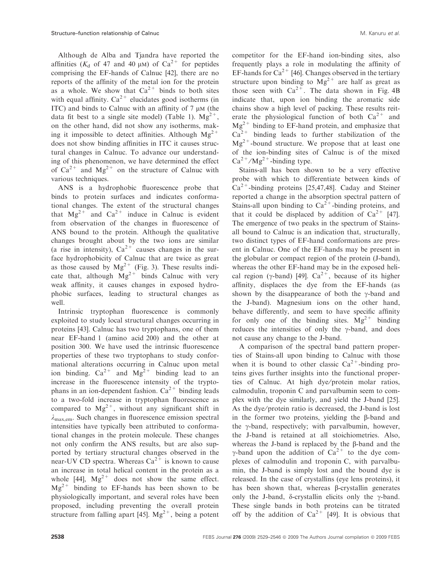Although de Alba and Tjandra have reported the affinities ( $K_d$  of 47 and 40  $\mu$ m) of Ca<sup>2+</sup> for peptides comprising the EF-hands of Calnuc [42], there are no reports of the affinity of the metal ion for the protein as a whole. We show that  $Ca^{2+}$  binds to both sites with equal affinity.  $Ca^{2+}$  elucidates good isotherms (in ITC) and binds to Calnuc with an affinity of  $7 \mu M$  (the data fit best to a single site model) (Table 1).  $Mg^{2+}$ , on the other hand, did not show any isotherms, making it impossible to detect affinities. Although  $Mg^{2+}$ does not show binding affinities in ITC it causes structural changes in Calnuc. To advance our understanding of this phenomenon, we have determined the effect of  $Ca^{2+}$  and  $Mg^{2+}$  on the structure of Calnuc with various techniques.

ANS is a hydrophobic fluorescence probe that binds to protein surfaces and indicates conformational changes. The extent of the structural changes that  $Mg^{2+}$  and  $Ca^{2+}$  induce in Calnuc is evident from observation of the changes in fluorescence of ANS bound to the protein. Although the qualitative changes brought about by the two ions are similar (a rise in intensity),  $Ca^{2+}$  causes changes in the surface hydrophobicity of Calnuc that are twice as great as those caused by  $Mg^{2+}$  (Fig. 3). These results indicate that, although  $Mg^{2+}$  binds Calnuc with very weak affinity, it causes changes in exposed hydrophobic surfaces, leading to structural changes as well.

Intrinsic tryptophan fluorescence is commonly exploited to study local structural changes occurring in proteins [43]. Calnuc has two tryptophans, one of them near EF-hand 1 (amino acid 200) and the other at position 300. We have used the intrinsic fluorescence properties of these two tryptophans to study conformational alterations occurring in Calnuc upon metal ion binding.  $Ca^{2+}$  and  $Mg^{2+}$  binding lead to an increase in the fluorescence intensity of the tryptophans in an ion-dependent fashion.  $Ca^{2+}$  binding leads to a two-fold increase in tryptophan fluorescence as compared to  $Mg^{2+}$ , without any significant shift in  $\lambda_{\text{max,em}}$ . Such changes in fluorescence emission spectral intensities have typically been attributed to conformational changes in the protein molecule. These changes not only confirm the ANS results, but are also supported by tertiary structural changes observed in the near-UV CD spectra. Whereas  $Ca^{2+}$  is known to cause an increase in total helical content in the protein as a whole [44],  $Mg^{2+}$  does not show the same effect.  $Mg^{2+}$  binding to EF-hands has been shown to be physiologically important, and several roles have been proposed, including preventing the overall protein structure from falling apart [45].  $Mg^{2+}$ , being a potent

competitor for the EF-hand ion-binding sites, also frequently plays a role in modulating the affinity of EF-hands for  $Ca^{2+}$  [46]. Changes observed in the tertiary structure upon binding to  $Mg^{2+}$  are half as great as those seen with  $Ca^{2+}$ . The data shown in Fig. 4B indicate that, upon ion binding the aromatic side chains show a high level of packing. These results reiterate the physiological function of both  $Ca^{2+}$  and  $Mg^{2+}$  binding to EF-hand protein, and emphasize that  $Ca^{2+}$  binding leads to further stabilization of the  $Mg^{2+}$ -bound structure. We propose that at least one of the ion-binding sites of Calnuc is of the mixed  $Ca^{2+}/Mg^{2+}$ -binding type.

Stains-all has been shown to be a very effective probe with which to differentiate between kinds of  $Ca<sup>2+</sup>$ -binding proteins [25,47,48]. Caday and Steiner reported a change in the absorption spectral pattern of Stains-all upon binding to  $Ca^{2+}$ -binding proteins, and that it could be displaced by addition of  $Ca^{2+}$  [47]. The emergence of two peaks in the spectrum of Stainsall bound to Calnuc is an indication that, structurally, two distinct types of EF-hand conformations are present in Calnuc. One of the EF-hands may be present in the globular or compact region of the protein (J-band), whereas the other EF-hand may be in the exposed helical region ( $\gamma$ -band) [49].  $Ca^{2+}$ , because of its higher affinity, displaces the dye from the EF-hands (as shown by the disappearance of both the  $\gamma$ -band and the J-band). Magnesium ions on the other hand, behave differently, and seem to have specific affinity for only one of the binding sites.  $Mg^{2+}$  binding reduces the intensities of only the  $\gamma$ -band, and does not cause any change to the J-band.

A comparison of the spectral band pattern properties of Stains-all upon binding to Calnuc with those when it is bound to other classic  $Ca^{2+}$ -binding proteins gives further insights into the functional properties of Calnuc. At high dye/protein molar ratios, calmodulin, troponin C and parvalbumin seem to complex with the dye similarly, and yield the J-band [25]. As the dye/protein ratio is decreased, the J-band is lost in the former two proteins, yielding the  $\beta$ -band and the  $\gamma$ -band, respectively; with parvalbumin, however, the J-band is retained at all stoichiometries. Also, whereas the J-band is replaced by the  $\beta$ -band and the  $\gamma$ -band upon the addition of Ca<sup>2+</sup> to the dye complexes of calmodulin and troponin C, with parvalbumin, the J-band is simply lost and the bound dye is released. In the case of crystallins (eye lens proteins), it has been shown that, whereas  $\beta$ -crystallin generates only the J-band,  $\delta$ -crystallin elicits only the  $\gamma$ -band. These single bands in both proteins can be titrated off by the addition of  $Ca^{2+}$  [49]. It is obvious that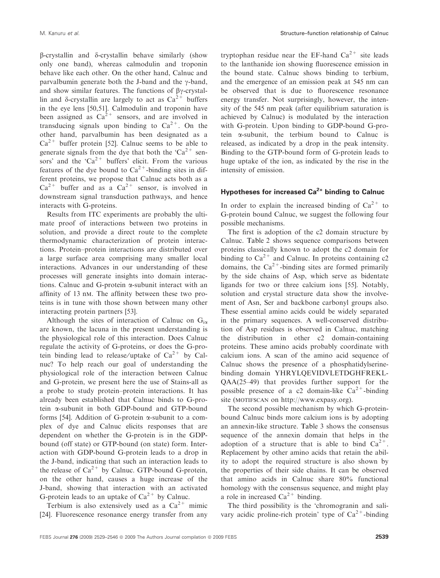$\beta$ -crystallin and  $\delta$ -crystallin behave similarly (show only one band), whereas calmodulin and troponin behave like each other. On the other hand, Calnuc and parvalbumin generate both the J-band and the  $\gamma$ -band, and show similar features. The functions of  $\beta\gamma$ -crystallin and  $\delta$ -crystallin are largely to act as  $Ca^{2+}$  buffers in the eye lens [50,51]. Calmodulin and troponin have been assigned as  $Ca^{2+}$  sensors, and are involved in transducing signals upon binding to  $Ca^{2+}$ . On the other hand, parvalbumin has been designated as a  $Ca^{2+}$  buffer protein [52]. Calnuc seems to be able to generate signals from the dye that both the ' $Ca^{2+}$  sensors' and the ' $Ca^{2+}$  buffers' elicit. From the various features of the dye bound to  $Ca^{2+}$ -binding sites in different proteins, we propose that Calnuc acts both as a  $Ca^{2+}$  buffer and as a  $Ca^{2+}$  sensor, is involved in downstream signal transduction pathways, and hence interacts with G-proteins.

Results from ITC experiments are probably the ultimate proof of interactions between two proteins in solution, and provide a direct route to the complete thermodynamic characterization of protein interactions. Protein–protein interactions are distributed over a large surface area comprising many smaller local interactions. Advances in our understanding of these processes will generate insights into domain interactions. Calnuc and G-protein  $\alpha$ -subunit interact with an affinity of 13 nm. The affinity between these two proteins is in tune with those shown between many other interacting protein partners [53].

Although the sites of interaction of Calnuc on  $G_{i\alpha}$ are known, the lacuna in the present understanding is the physiological role of this interaction. Does Calnuc regulate the activity of G-proteins, or does the G-protein binding lead to release/uptake of  $Ca^{2+}$  by Calnuc? To help reach our goal of understanding the physiological role of the interaction between Calnuc and G-protein, we present here the use of Stains-all as a probe to study protein–protein interactions. It has already been established that Calnuc binds to G-protein a-subunit in both GDP-bound and GTP-bound forms [54]. Addition of G-protein a-subunit to a complex of dye and Calnuc elicits responses that are dependent on whether the G-protein is in the GDPbound (off state) or GTP-bound (on state) form. Interaction with GDP-bound G-protein leads to a drop in the J-band, indicating that such an interaction leads to the release of  $Ca^{2+}$  by Calnuc. GTP-bound G-protein, on the other hand, causes a huge increase of the J-band, showing that interaction with an activated G-protein leads to an uptake of  $Ca^{2+}$  by Calnuc.

Terbium is also extensively used as a  $Ca^{2+}$  mimic [24]. Fluorescence resonance energy transfer from any

tryptophan residue near the EF-hand  $Ca^{2+}$  site leads to the lanthanide ion showing fluorescence emission in the bound state. Calnuc shows binding to terbium, and the emergence of an emission peak at 545 nm can be observed that is due to fluorescence resonance energy transfer. Not surprisingly, however, the intensity of the 545 nm peak (after equilibrium saturation is achieved by Calnuc) is modulated by the interaction with G-protein. Upon binding to GDP-bound G-protein  $\alpha$ -subunit, the terbium bound to Calnuc is released, as indicated by a drop in the peak intensity. Binding to the GTP-bound form of G-protein leads to huge uptake of the ion, as indicated by the rise in the intensity of emission.

# Hypotheses for increased  $Ca<sup>2+</sup>$  binding to Calnuc

In order to explain the increased binding of  $Ca^{2+}$  to G-protein bound Calnuc, we suggest the following four possible mechanisms.

The first is adoption of the c2 domain structure by Calnuc. Table 2 shows sequence comparisons between proteins classically known to adopt the c2 domain for binding to  $Ca^{2+}$  and Calnuc. In proteins containing c2 domains, the  $Ca^{2+}$ -binding sites are formed primarily by the side chains of Asp, which serve as bidentate ligands for two or three calcium ions [55]. Notably, solution and crystal structure data show the involvement of Asn, Ser and backbone carbonyl groups also. These essential amino acids could be widely separated in the primary sequences. A well-conserved distribution of Asp residues is observed in Calnuc, matching the distribution in other c2 domain-containing proteins. These amino acids probably coordinate with calcium ions. A scan of the amino acid sequence of Calnuc shows the presence of a phosphatidylserinebinding domain YHRYLQEVIDVLETDGHFREKL-QAA(25–49) that provides further support for the possible presence of a c2 domain-like  $Ca^{2+}$ -binding site (MOTIFSCAN on http://www.expasy.org).

The second possible mechanism by which G-proteinbound Calnuc binds more calcium ions is by adopting an annexin-like structure. Table 3 shows the consensus sequence of the annexin domain that helps in the adoption of a structure that is able to bind  $Ca^{2+}$ . Replacement by other amino acids that retain the ability to adopt the required structure is also shown by the properties of their side chains. It can be observed that amino acids in Calnuc share 80% functional homology with the consensus sequence, and might play a role in increased  $Ca^{2+}$  binding.

The third possibility is the 'chromogranin and salivary acidic proline-rich protein' type of  $Ca^{2+}$ -binding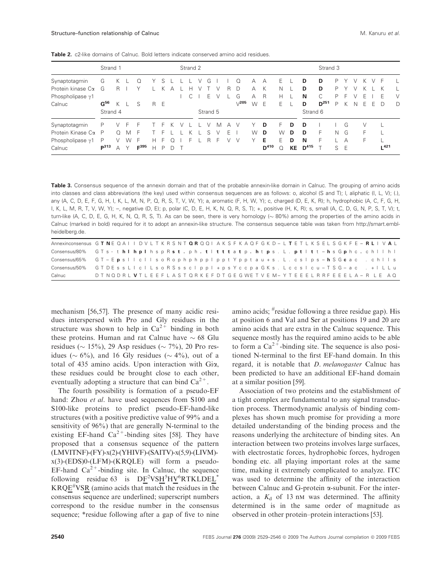Table 2. c2-like domains of Calnuc. Bold letters indicate conserved amino acid residues.

|                          | Strand 1        |   |              |                  |     |   |   |  | Strand 2 |          |   |   |              |   |           | Strand 3 |    |           |           |    |    |   |   |    |                  |   |
|--------------------------|-----------------|---|--------------|------------------|-----|---|---|--|----------|----------|---|---|--------------|---|-----------|----------|----|-----------|-----------|----|----|---|---|----|------------------|---|
| Synaptotagmin            | G               | Κ |              |                  |     | S |   |  |          | G        |   |   | Ω            | А | А         | E.       |    | D         | D         | Р  |    |   |   |    | E                |   |
| Protein kinase Cα        | G               | R |              | v                |     |   |   |  |          |          |   | R | D            | А | К         | Ν        |    | D         | D         | P  |    |   |   |    |                  |   |
| Phospholipase $\gamma$ 1 |                 |   |              |                  |     |   |   |  |          | F.       |   |   | G            | А | R         | Н        |    | N         | C         | P  | ⊢. |   | ⊢ |    | F                | V |
| Calnuc                   | G <sup>56</sup> | K |              | S                | R E |   |   |  |          |          |   |   | $\sqrt{205}$ | W | E         | F        |    | D         | $D^{251}$ | P  |    | Ν | E | F. | Ð                | D |
|                          | Strand 4        |   |              |                  |     |   |   |  |          | Strand 5 |   |   |              |   |           |          |    | Strand 6  |           |    |    |   |   |    |                  |   |
| Synaptotagmin            | Р               |   |              |                  |     |   |   |  |          |          | М | А |              |   | D         | F        | D  | D         |           |    | G  |   |   |    |                  |   |
| Protein Kinase Cα        | P               | Ω | M            | F                |     |   |   |  |          |          |   | F |              | W | D         | W        | D  | D         | F         | N  | G  |   | F |    |                  |   |
| Phospholipase $\gamma$ 1 | P               | V | W            | F                | н   |   |   |  |          | R        | F |   | $\vee$       | ٧ | Е         | F        | D  | N         | F         |    | А  |   | F |    |                  |   |
| Calnuc                   | $p^{313}$       | A | $\checkmark$ | F <sup>395</sup> | н   | P | D |  |          |          |   |   |              |   | $D^{410}$ | $\Omega$ | KE | $D^{415}$ |           | S. | Е  |   |   |    | L <sup>421</sup> |   |

Table 3. Consensus sequence of the annexin domain and that of the probable annexin-like domain in Calnuc. The grouping of amino acids into classes and class abbreviations (the key) used within consensus sequences are as follows: o, alcohol (S and T); l, aliphatic (I, L, V); (.), any (A, C, D, E, F, G, H, I, K, L, M, N, P, Q, R, S, T, V, W, Y); a, aromatic (F, H, W, Y); c, charged (D, E, K, R); h, hydrophobic (A, C, F, G, H, I, K, L, M, R, T, V, W, Y); -, negative (D, E); p, polar (C, D, E, H, K, N, Q, R, S, T); +, positive (H, K, R); s, small (A, C, D, G, N, P, S, T, V); t, turn-like (A, C, D, E, G, H, K, N, Q, R, S, T). As can be seen, there is very homology ( $\sim$  80%) among the properties of the amino acids in Calnuc (marked in bold) required for it to adopt an annexin-like structure. The consensus sequence table was taken from http://smart.emblheidelberg.de.

| Annexinconsensus GTNE QAIIDVLTKRSNTQRQQIAKSFKAQFGKD-LTETLKSELSGKFE-RLIVAL      |                                                          |  |  |  |  |  |  |  |  |  |  |  |  |  |  |  |  |  |
|--------------------------------------------------------------------------------|----------------------------------------------------------|--|--|--|--|--|--|--|--|--|--|--|--|--|--|--|--|--|
| Consensus/80% GTs-thlhplhspRst.ph.tltttatp.htps.L.ptltt-hsGphc.chllhl          |                                                          |  |  |  |  |  |  |  |  |  |  |  |  |  |  |  |  |  |
| Consensus/65% GT-Epsliciis o Roph phpplppt Ypptau +s. L. csips-h S Gcac. chils |                                                          |  |  |  |  |  |  |  |  |  |  |  |  |  |  |  |  |  |
| Consensus/50% GTDEssLIcILsoRSsscIppI+psYccpaGKs.LccsIcu-TSG-ac.+ILLu           |                                                          |  |  |  |  |  |  |  |  |  |  |  |  |  |  |  |  |  |
| Calnuc                                                                         | DTNQDRLVTLEEFLASTQRKEFDTGEGWETVEM-YTEEELRRFEEELA-R LE AQ |  |  |  |  |  |  |  |  |  |  |  |  |  |  |  |  |  |

mechanism [56,57]. The presence of many acidic residues interspersed with Pro and Gly residues in the structure was shown to help in  $Ca^{2+}$  binding in both these proteins. Human and rat Calnuc have  $\sim 68$  Glu residues ( $\sim 15\%$ ), 29 Asp residues ( $\sim 7\%$ ), 20 Pro residues ( $\sim 6\%$ ), and 16 Gly residues ( $\sim 4\%$ ), out of a total of 435 amino acids. Upon interaction with Gia, these residues could be brought close to each other, eventually adopting a structure that can bind  $Ca^{2+}$ .

The fourth possibility is formation of a pseudo-EF hand: Zhou *et al.* have used sequences from S100 and S100-like proteins to predict pseudo-EF-hand-like structures (with a positive predictive value of 99% and a sensitivity of 96%) that are generally N-terminal to the existing EF-hand  $Ca^{2+}$ -binding sites [58]. They have proposed that a consensus sequence of the pattern (LMVITNF)-(FY)-x(2)-(YHIVF)-(SAITV)-x(5,9)-(LIVM) x(3)-(EDS)0-(LFM)-(KRQLE) will form a pseudo-EF-hand  $Ca^{2+}$ -binding site. In Calnuc, the sequence following residue 63 is  $DF^2VSH^5HV^6RTKLDEL^*$ KRQE #VSR (amino acids that match the residues in the consensus sequence are underlined; superscript numbers correspond to the residue number in the consensus sequence; \*residue following after a gap of five to nine

amino acids; # residue following a three residue gap). His at position 6 and Val and Ser at positions 19 and 20 are amino acids that are extra in the Calnuc sequence. This sequence mostly has the required amino acids to be able to form a  $Ca^{2+}$ -binding site. The sequence is also positioned N-terminal to the first EF-hand domain. In this regard, it is notable that *D. melanogaster* Calnuc has been predicted to have an additional EF-hand domain at a similar position [59].

Association of two proteins and the establishment of a tight complex are fundamental to any signal transduction process. Thermodynamic analysis of binding complexes has shown much promise for providing a more detailed understanding of the binding process and the reasons underlying the architecture of binding sites. An interaction between two proteins involves large surfaces, with electrostatic forces, hydrophobic forces, hydrogen bonding etc. all playing important roles at the same time, making it extremely complicated to analyze. ITC was used to determine the affinity of the interaction between Calnuc and G-protein a-subunit. For the interaction, a  $K_d$  of 13 nm was determined. The affinity determined is in the same order of magnitude as observed in other protein–protein interactions [53].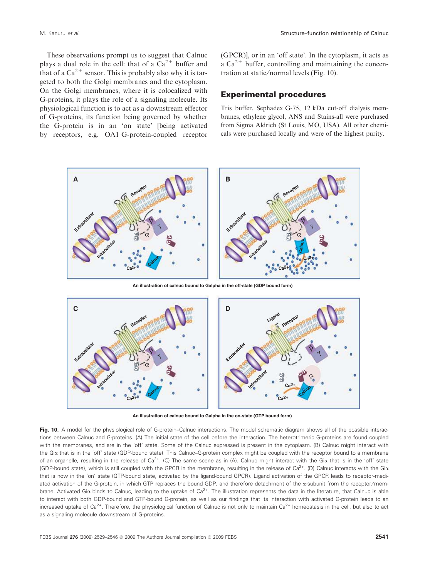These observations prompt us to suggest that Calnuc plays a dual role in the cell: that of a  $Ca^{2+}$  buffer and that of a  $Ca^{2+}$  sensor. This is probably also why it is targeted to both the Golgi membranes and the cytoplasm. On the Golgi membranes, where it is colocalized with G-proteins, it plays the role of a signaling molecule. Its physiological function is to act as a downstream effector of G-proteins, its function being governed by whether the G-protein is in an 'on state' [being activated by receptors, e.g. OA1 G-protein-coupled receptor (GPCR)], or in an 'off state'. In the cytoplasm, it acts as a  $Ca^{2+}$  buffer, controlling and maintaining the concentration at static/normal levels (Fig. 10).

# Experimental procedures

Tris buffer, Sephadex G-75, 12 kDa cut-off dialysis membranes, ethylene glycol, ANS and Stains-all were purchased from Sigma Aldrich (St Louis, MO, USA). All other chemicals were purchased locally and were of the highest purity.



**An illustration of calnuc bound to Galpha in the off-state (GDP bound form)**



**An illustration of calnuc bound to Galpha in the on-state (GTP bound form)**

Fig. 10. A model for the physiological role of G-protein–Calnuc interactions. The model schematic diagram shows all of the possible interactions between Calnuc and G-proteins. (A) The initial state of the cell before the interaction. The heterotrimeric G-proteins are found coupled with the membranes, and are in the 'off' state. Some of the Calnuc expressed is present in the cytoplasm. (B) Calnuc might interact with the Gia that is in the 'off' state (GDP-bound state). This Calnuc–G-protein complex might be coupled with the receptor bound to a membrane of an organelle, resulting in the release of  $Ca^{2+}$ . (C) The same scene as in (A). Calnuc might interact with the Gi $\alpha$  that is in the 'off' state (GDP-bound state), which is still coupled with the GPCR in the membrane, resulting in the release of  $Ca<sup>2+</sup>$ . (D) Calnuc interacts with the Gi $\alpha$ that is now in the 'on' state (GTP-bound state, activated by the ligand-bound GPCR). Ligand activation of the GPCR leads to receptor-mediated activation of the G-protein, in which GTP replaces the bound GDP, and therefore detachment of the  $\alpha$ -subunit from the receptor/membrane. Activated Gi $\alpha$  binds to Calnuc, leading to the uptake of  $Ca^{2+}$ . The illustration represents the data in the literature, that Calnuc is able to interact with both GDP-bound and GTP-bound G-protein, as well as our findings that its interaction with activated G-protein leads to an increased uptake of  $Ca^{2+}$ . Therefore, the physiological function of Calnuc is not only to maintain  $Ca^{2+}$  homeostasis in the cell, but also to act as a signaling molecule downstream of G-proteins.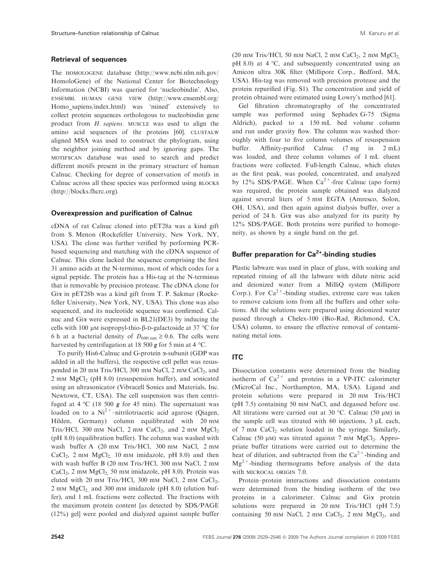#### Retrieval of sequences

The homologene database (http://www.ncbi.nlm.nih.gov/ HomoloGene) of the National Center for Biotechnology Information (NCBI) was queried for 'nucleobindin'. Also, ensembl human gene view (http://www.ensembl.org/ Homo\_sapiens/index.html) was 'mined' extensively to collect protein sequences orthologous to nucleobindin gene product from *H. sapiens*. MUSCLE was used to align the amino acid sequences of the proteins [60]. CLUSTALW aligned MSA was used to construct the phylogram, using the neighbor joining method and by ignoring gaps. The motifscan database was used to search and predict different motifs present in the primary structure of human Calnuc. Checking for degree of conservation of motifs in Calnuc across all these species was performed using blocks (http://blocks.fhcrc.org).

#### Overexpression and purification of Calnuc

cDNA of rat Calnuc cloned into pET28a was a kind gift from S. Menon (Rockefeller University, New York, NY, USA). The clone was further verified by performing PCRbased sequencing and matching with the cDNA sequence of Calnuc. This clone lacked the sequence comprising the first 31 amino acids at the N-terminus, most of which codes for a signal peptide. The protein has a His-tag at the N-terminus that is removable by precision protease. The cDNA clone for Gia in pET28b was a kind gift from T. P. Sakmar (Rockefeller University, New York, NY, USA). This clone was also sequenced, and its nucleotide sequence was confirmed. Calnuc and Gia were expressed in BL21(DE3) by inducing the cells with 100  $\mu$ M isopropyl-thio- $\beta$ -D-galactoside at 37 °C for 6 h at a bacterial density of  $D_{600 \text{ nm}} \geq 0.6$ . The cells were harvested by centrifugation at 18 500  $g$  for 5 min at 4 °C.

To purify His6-Calnuc and G-protein a-subunit (GDP was added in all the buffers), the respective cell pellet was resuspended in 20 mm Tris/HCl, 300 mm NaCl, 2 mm CaCl<sub>2</sub>, and  $2 \text{ mm } MgCl<sub>2</sub>$  (pH 8.0) (resuspension buffer), and sonicated using an ultrasonicator (Vibracell Sonics and Materials, Inc. Newtown, CT, USA). The cell suspension was then centrifuged at  $4 \text{ }^{\circ}$ C (18 500 g for 45 min). The supernatant was loaded on to a  $Ni^{2+}$ -nitrilotriacetic acid agarose (Qiagen, Hilden, Germany) column equilibrated with 20 mm Tris/HCl, 300 mm NaCl,  $2 \text{ mm }$ CaCl<sub>2</sub>, and  $2 \text{ mm }$ MgCl<sub>2</sub> (pH 8.0) (equilibration buffer). The column was washed with wash buffer A (20 mm Tris/HCl, 300 mm NaCl, 2 mm  $CaCl<sub>2</sub>$ , 2 mm  $MgCl<sub>2</sub>$ , 10 mm imidazole, pH 8.0) and then with wash buffer B (20 mm Tris⁄ HCl, 300 mm NaCl, 2 mm CaCl<sub>2</sub>, 2 mm MgCl<sub>2</sub> 50 mm imidazole, pH 8.0). Protein was eluted with 20 mm Tris/HCl, 300 mm NaCl, 2 mm CaCl<sub>2</sub>,  $2$  mm  $MgCl<sub>2</sub>$ , and 300 mm imidazole (pH 8.0) (elution buffer), and 1 mL fractions were collected. The fractions with the maximum protein content [as detected by SDS/PAGE (12%) gel] were pooled and dialyzed against sample buffer

(20 mm Tris/HCl, 50 mm NaCl, 2 mm CaCl<sub>2</sub>, 2 mm  $MgCl<sub>2</sub>$ pH 8.0) at  $4 °C$ , and subsequently concentrated using an Amicon ultra 30K filter (Millipore Corp., Bedford, MA, USA). His-tag was removed with precision protease and the protein repurified (Fig. S1). The concentration and yield of protein obtained were estimated using Lowry's method [61].

Gel filtration chromatography of the concentrated sample was performed using Sephadex G-75 (Sigma Aldrich), packed to a 150 mL bed volume column and run under gravity flow. The column was washed thoroughly with four to five column volumes of resuspension buffer. Affinity-purified Calnuc (7 mg in 2 mL) was loaded, and three column volumes of 1 mL eluent fractions were collected. Full-length Calnuc, which elutes as the first peak, was pooled, concentrated, and analyzed by 12% SDS/PAGE. When  $Ca^{2+}$ -free Calnuc (apo form) was required, the protein sample obtained was dialyzed against several liters of 5 mm EGTA (Amresco, Solon, OH, USA), and then again against dialysis buffer, over a period of 24 h. Gia was also analyzed for its purity by 12% SDS/PAGE. Both proteins were purified to homogeneity, as shown by a single band on the gel.

### Buffer preparation for  $Ca^{2+}$ -binding studies

Plastic labware was used in place of glass, with soaking and repeated rinsing of all the labware with dilute nitric acid and deionized water from a MilliQ system (Millipore Corp.). For  $Ca^{2+}$ -binding studies, extreme care was taken to remove calcium ions from all the buffers and other solutions. All the solutions were prepared using deionized water passed through a Chelex-100 (Bio-Rad, Richmond, CA, USA) column, to ensure the effective removal of contaminating metal ions.

#### ITC

Dissociation constants were determined from the binding isotherm of  $Ca^{2+}$  and proteins in a VP-ITC calorimeter (MicroCal Inc., Northampton, MA, USA). Ligand and protein solutions were prepared in 20 mm Tris⁄ HCl (pH 7.5) containing 50 mm NaCl, and degassed before use. All titrations were carried out at 30 °C. Calnuc (50  $\mu$ M) in the sample cell was titrated with 60 injections,  $3 \mu L$  each, of 7 mm CaCl<sub>2</sub> solution loaded in the syringe. Similarly, Calnuc (50  $\mu$ M) was titrated against 7 mM MgCl<sub>2</sub>. Appropriate buffer titrations were carried out to determine the heat of dilution, and subtracted from the  $Ca^{2+}$ -binding and  $Mg^{2+}$ -binding thermograms before analysis of the data with MICROCAL ORIGIN 7.0.

Protein–protein interactions and dissociation constants were determined from the binding isotherm of the two proteins in a calorimeter. Calnuc and Gia protein solutions were prepared in 20 mm Tris/HCl (pH 7.5) containing 50 mm NaCl, 2 mm CaCl<sub>2</sub>, 2 mm MgCl<sub>2</sub>, and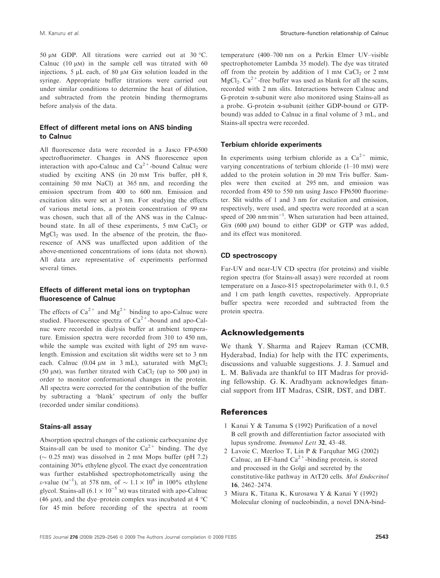50  $\mu$ M GDP. All titrations were carried out at 30 °C. Calnuc (10  $\mu$ m) in the sample cell was titrated with 60 injections,  $5 \mu L$  each, of 80  $\mu$ m Gi $\alpha$  solution loaded in the syringe. Appropriate buffer titrations were carried out under similar conditions to determine the heat of dilution, and subtracted from the protein binding thermograms before analysis of the data.

# Effect of different metal ions on ANS binding to Calnuc

All fluorescence data were recorded in a Jasco FP-6500 spectrofluorimeter. Changes in ANS fluorescence upon interaction with apo-Calnuc and  $Ca^{2+}$ -bound Calnuc were studied by exciting ANS (in 20 mm Tris buffer, pH 8, containing 50 mm NaCl) at 365 nm, and recording the emission spectrum from 400 to 600 nm. Emission and excitation slits were set at 3 nm. For studying the effects of various metal ions, a protein concentration of 99 nm was chosen, such that all of the ANS was in the Calnucbound state. In all of these experiments,  $5 \text{ mm } \text{CaCl}_2$  or  $MgCl<sub>2</sub>$  was used. In the absence of the protein, the fluorescence of ANS was unaffected upon addition of the above-mentioned concentrations of ions (data not shown). All data are representative of experiments performed several times.

### Effects of different metal ions on tryptophan fluorescence of Calnuc

The effects of  $Ca^{2+}$  and  $Mg^{2+}$  binding to apo-Calnuc were studied. Fluorescence spectra of  $Ca^{2+}$ -bound and apo-Calnuc were recorded in dialysis buffer at ambient temperature. Emission spectra were recorded from 310 to 450 nm, while the sample was excited with light of 295 nm wavelength. Emission and excitation slit widths were set to 3 nm each. Calnuc (0.04  $\mu$ m in 3 mL), saturated with MgCl<sub>2</sub> (50  $\mu$ m), was further titrated with CaCl<sub>2</sub> (up to 500  $\mu$ m) in order to monitor conformational changes in the protein. All spectra were corrected for the contribution of the buffer by subtracting a 'blank' spectrum of only the buffer (recorded under similar conditions).

#### Stains-all assay

Absorption spectral changes of the cationic carbocyanine dye Stains-all can be used to monitor  $Ca^{2+}$  binding. The dye  $(\sim 0.25 \text{ mm})$  was dissolved in 2 mm Mops buffer (pH 7.2) containing 30% ethylene glycol. The exact dye concentration was further established spectrophotometrically using the  $\varepsilon$ -value (M<sup>-1</sup>), at 578 nm, of  $\sim 1.1 \times 10^6$  in 100% ethylene glycol. Stains-all  $(6.1 \times 10^{-5} \text{ M})$  was titrated with apo-Calnuc (46  $\mu$ M), and the dye-protein complex was incubated at 4  $\degree$ C for 45 min before recording of the spectra at room temperature (400–700 nm on a Perkin Elmer UV–visible spectrophotometer Lambda 35 model). The dye was titrated off from the protein by addition of  $1 \text{ mm }$  CaCl<sub>2</sub> or  $2 \text{ mm}$  $MgCl_2$ . Ca<sup>2+</sup>-free buffer was used as blank for all the scans, recorded with 2 nm slits. Interactions between Calnuc and G-protein a-subunit were also monitored using Stains-all as a probe. G-protein a-subunit (either GDP-bound or GTPbound) was added to Calnuc in a final volume of 3 mL, and Stains-all spectra were recorded.

#### Terbium chloride experiments

In experiments using terbium chloride as a  $Ca^{2+}$  mimic. varying concentrations of terbium chloride (1–10 mm) were added to the protein solution in 20 mm Tris buffer. Samples were then excited at 295 nm, and emission was recorded from 450 to 550 nm using Jasco FP6500 fluorimeter. Slit widths of 1 and 3 nm for excitation and emission, respectively, were used, and spectra were recorded at a scan speed of 200  $n$ m·min<sup>-1</sup>. When saturation had been attained, Gia  $(600 \mu)$  bound to either GDP or GTP was added, and its effect was monitored.

#### CD spectroscopy

Far-UV and near-UV CD spectra (for proteins) and visible region spectra (for Stains-all assay) were recorded at room temperature on a Jasco-815 spectropolarimeter with 0.1, 0.5 and 1 cm path length cuvettes, respectively. Appropriate buffer spectra were recorded and subtracted from the protein spectra.

# Acknowledgements

We thank Y. Sharma and Rajeev Raman (CCMB, Hyderabad, India) for help with the ITC experiments, discussions and valuable suggestions. J. J. Samuel and L. M. Balivada are thankful to IIT Madras for providing fellowship. G. K. Aradhyam acknowledges financial support from IIT Madras, CSIR, DST, and DBT.

## **References**

- 1 Kanai Y & Tanuma S (1992) Purification of a novel B cell growth and differentiation factor associated with lupus syndrome. *Immunol Lett* 32, 43–48.
- 2 Lavoie C, Meerloo T, Lin P & Farquhar MG (2002) Calnuc, an EF-hand  $Ca^{2+}$ -binding protein, is stored and processed in the Golgi and secreted by the constitutive-like pathway in AtT20 cells. *Mol Endocrinol* 16, 2462–2474.
- 3 Miura K, Titana K, Kurosawa Y & Kanai Y (1992) Molecular cloning of nucleobindin, a novel DNA-bind-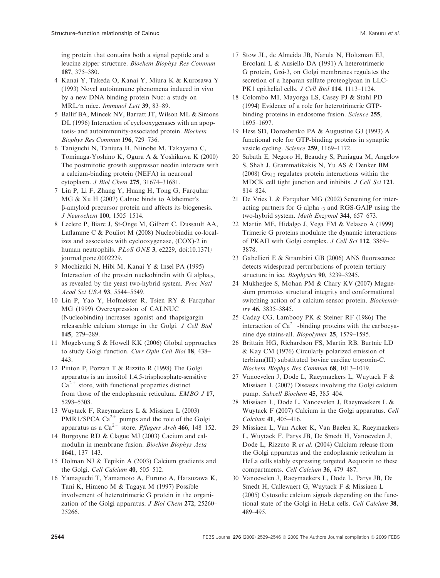ing protein that contains both a signal peptide and a leucine zipper structure. *Biochem Biophys Res Commun* 187, 375–380.

- 4 Kanai Y, Takeda O, Kanai Y, Miura K & Kurosawa Y (1993) Novel autoimmune phenomena induced in vivo by a new DNA binding protein Nuc: a study on MRL⁄ n mice. *Immunol Lett* 39, 83–89.
- 5 Ballif BA, Mincek NV, Barratt JT, Wilson ML & Simons DL (1996) Interaction of cyclooxygenases with an apoptosis- and autoimmunity-associated protein. *Biochem Biophys Res Commun* 196, 729–736.
- 6 Taniguchi N, Taniura H, Niinobe M, Takayama C, Tominaga-Yoshino K, Ogura A & Yoshikawa K (2000) The postmitotic growth suppressor necdin interacts with a calcium-binding protein (NEFA) in neuronal cytoplasm. *J Biol Chem* 275, 31674–31681.
- 7 Lin P, Li F, Zhang Y, Huang H, Tong G, Farquhar MG & Xu H (2007) Calnuc binds to Alzheimer's b-amyloid precursor protein and affects its biogenesis. *J Neurochem* 100, 1505–1514.
- 8 Leclerc P, Biarc J, St-Onge M, Gilbert C, Dussault AA, Laflamme C & Pouliot M (2008) Nucleobindin co-localizes and associates with cyclooxygenase, (COX)-2 in human neutrophils. *PLoS ONE* 3, e2229, doi:10.1371/ journal.pone.0002229.
- 9 Mochizuki N, Hibi M, Kanai Y & Insel PA (1995) Interaction of the protein nucleobindin with G alpha<sub>i2</sub>, as revealed by the yeast two-hybrid system. *Proc Natl Acad Sci USA* 93, 5544–5549.
- 10 Lin P, Yao Y, Hofmeister R, Tsien RY & Farquhar MG (1999) Overexpression of CALNUC (Nucleobindin) increases agonist and thapsigargin releaseable calcium storage in the Golgi. *J Cell Biol* 145, 279–289.
- 11 Mogelsvang S & Howell KK (2006) Global approaches to study Golgi function. *Curr Opin Cell Biol* 18, 438– 443.
- 12 Pinton P, Pozzan T & Rizzito R (1998) The Golgi apparatus is an inositol 1,4,5-trisphosphate-sensitive  $Ca<sup>2+</sup>$  store, with functional properties distinct from those of the endoplasmic reticulum. *EMBO J* 17, 5298–5308.
- 13 Wuytack F, Raeymaekers L & Missiaen L (2003) PMR1/SPCA  $Ca^{2+}$  pumps and the role of the Golgi apparatus as a Ca2+ store. *Pflugers Arch* 466, 148–152.
- 14 Burgoyne RD & Clague MJ (2003) Cacium and calmodulin in membrane fusion. *Biochim Biophys Acta* 1641, 137–143.
- 15 Dolman NJ & Tepikin A (2003) Calcium gradients and the Golgi. *Cell Calcium* 40, 505–512.
- 16 Yamaguchi T, Yamamoto A, Furuno A, Hatsuzawa K, Tani K, Himeno M & Tagaya M (1997) Possible involvement of heterotrimeric G protein in the organization of the Golgi apparatus. *J Biol Chem* 272, 25260– 25266.
- 17 Stow JL, de Almeida JB, Narula N, Holtzman EJ, Ercolani L & Ausiello DA (1991) A heterotrimeric G protein, Gai-3, on Golgi membranes regulates the secretion of a heparan sulfate proteoglycan in LLC-PK1 epithelial cells. *J Cell Biol* 114, 1113–1124.
- 18 Colombo MI, Mayorga LS, Casey PJ & Stahl PD (1994) Evidence of a role for heterotrimeric GTPbinding proteins in endosome fusion. *Science* 255, 1695–1697.
- 19 Hess SD, Doroshenko PA & Augustine GJ (1993) A functional role for GTP-binding proteins in synaptic vesicle cycling. *Science* 259, 1169–1172.
- 20 Sabath E, Negoro H, Beaudry S, Paniagua M, Angelow S, Shah J, Grammatikakis N, Yu AS & Denker BM (2008)  $G\alpha_{12}$  regulates protein interactions within the MDCK cell tight junction and inhibits. *J Cell Sci* 121, 814–824.
- 21 De Vries L & Farquhar MG (2002) Screening for interacting partners for G alpha  $_{13}$  and RGS-GAIP using the two-hybrid system. *Meth Enzymol* 344, 657–673.
- 22 Martin ME, Hidalgo J, Vega FM & Velasco A (1999) Trimeric G proteins modulate the dynamic interactions of PKAII with Golgi complex. *J Cell Sci* 112, 3869– 3878.
- 23 Gabellieri E & Strambini GB (2006) ANS fluorescence detects widespread perturbations of protein tertiary structure in ice. *Biophysics* 90, 3239–3245.
- 24 Mukherjee S, Mohan PM & Chary KV (2007) Magnesium promotes structural integrity and conformational switching action of a calcium sensor protein. *Biochemistry* 46, 3835–3845.
- 25 Caday CG, Lambooy PK & Steiner RF (1986) The interaction of  $Ca^{2+}$ -binding proteins with the carbocyanine dye stains-all. *Biopolymer* 25, 1579–1595.
- 26 Brittain HG, Richardson FS, Martin RB, Burtnic LD & Kay CM (1976) Circularly polarized emission of terbium(III) substituted bovine cardiac troponin-C. *Biochem Biophys Res Commun* 68, 1013–1019.
- 27 Vanoevelen J, Dode L, Raeymaekers L, Wuytack F & Missiaen L (2007) Diseases involving the Golgi calcium pump. *Subcell Biochem* 45, 385–404.
- 28 Missiaen L, Dode L, Vanoevelen J, Raeymaekers L & Wuytack F (2007) Calcium in the Golgi apparatus. *Cell Calcium* 41, 405–416.
- 29 Missiaen L, Van Acker K, Van Baelen K, Raeymaekers L, Wuytack F, Parys JB, De Smedt H, Vanoevelen J, Dode L, Rizzuto R *et al.* (2004) Calcium release from the Golgi apparatus and the endoplasmic reticulum in HeLa cells stably expressing targeted Aequorin to these compartments. *Cell Calcium* 36, 479–487.
- 30 Vanoevelen J, Raeymaekers L, Dode L, Parys JB, De Smedt H, Callewaert G, Wuytack F & Missiaen L (2005) Cytosolic calcium signals depending on the functional state of the Golgi in HeLa cells. *Cell Calcium* 38, 489–495.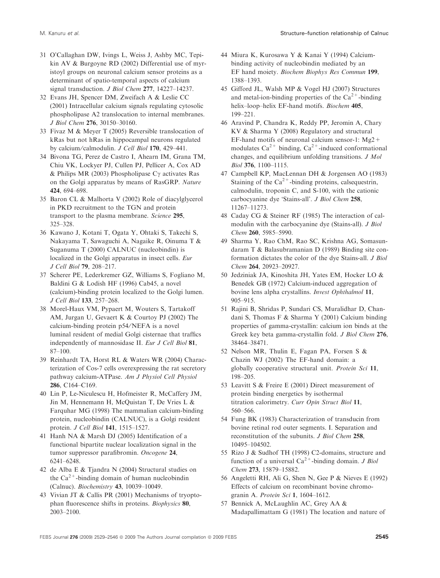- 31 O'Callaghan DW, Ivings L, Weiss J, Ashby MC, Tepikin AV & Burgoyne RD (2002) Differential use of myristoyl groups on neuronal calcium sensor proteins as a determinant of spatio-temporal aspects of calcium signal transduction. *J Biol Chem* 277, 14227–14237.
- 32 Evans JH, Spencer DM, Zweifach A & Leslie CC (2001) Intracellular calcium signals regulating cytosolic phospholipase A2 translocation to internal membranes. *J Biol Chem* 276, 30150–30160.
- 33 Fivaz M & Meyer T (2005) Reversible translocation of kRas but not hRas in hippocampal neurons regulated by calcium ⁄ calmodulin. *J Cell Biol* 170, 429–441.
- 34 Bivona TG, Perez de Castro I, Ahearn IM, Grana TM, Chiu VK, Lockyer PJ, Cullen PJ, Pellicer A, Cox AD & Philips MR (2003) Phospholipase C $\gamma$  activates Ras on the Golgi apparatus by means of RasGRP. *Nature* 424, 694–698.
- 35 Baron CL & Malhorta V (2002) Role of diacylglycerol in PKD recruitment to the TGN and protein transport to the plasma membrane. *Science* 295, 325–328.
- 36 Kawano J, Kotani T, Ogata Y, Ohtaki S, Takechi S, Nakayama T, Sawaguchi A, Nagaike R, Oinuma T & Suganuma T (2000) CALNUC (nucleobindin) is localized in the Golgi apparatus in insect cells. *Eur J Cell Biol* 79, 208–217.
- 37 Scherer PE, Lederkremer GZ, Williams S, Fogliano M, Baldini G & Lodish HF (1996) Cab45, a novel (calcium)-binding protein localized to the Golgi lumen. *J Cell Biol* 133, 257–268.
- 38 Morel-Haux VM, Pypaert M, Wouters S, Tartakoff AM, Jurgan U, Gevaert K & Courtoy PJ (2002) The calcium-binding protein p54/NEFA is a novel luminal resident of medial Golgi cisternae that traffics independently of mannosidase II. *Eur J Cell Biol* 81, 87–100.
- 39 Reinhardt TA, Horst RL & Waters WR (2004) Characterization of Cos-7 cells overexpressing the rat secretory pathway calcium-ATPase. *Am J Physiol Cell Physiol* 286, C164–C169.
- 40 Lin P, Le-Niculescu H, Hofmeister R, McCaffery JM, Jin M, Hennemann H, McQuistan T, De Vries L & Farquhar MG (1998) The mammalian calcium-binding protein, nucleobindin (CALNUC), is a Golgi resident protein. *J Cell Biol* 141, 1515–1527.
- 41 Hanh NA & Marsh DJ (2005) Identification of a functional bipartite nuclear localization signal in the tumor suppressor parafibromin. *Oncogene* 24, 6241–6248.
- 42 de Alba E & Tjandra N (2004) Structural studies on the  $Ca^{2+}$ -binding domain of human nucleobindin (Calnuc). *Biochemistry* 43, 10039–10049.
- 43 Vivian JT & Callis PR (2001) Mechanisms of tryoptophan fluorescence shifts in proteins. *Biophysics* 80, 2003–2100.
- 44 Miura K, Kurosawa Y & Kanai Y (1994) Calciumbinding activity of nucleobindin mediated by an EF hand moiety. *Biochem Biophys Res Commun* 199, 1388–1393.
- 45 Gifford JL, Walsh MP & Vogel HJ (2007) Structures and metal-ion-binding properties of the  $Ca^{2+}$ -binding helix–loop–helix EF-hand motifs. *Biochem* 405, 199–221.
- 46 Aravind P, Chandra K, Reddy PP, Jeromin A, Chary KV & Sharma Y (2008) Regulatory and structural EF-hand motifs of neuronal calcium sensor-1:  $Mg2$ + modulates  $Ca^{2+}$  binding,  $Ca^{2+}$ -induced conformational changes, and equilibrium unfolding transitions. *J Mol Biol* 376, 1100–1115.
- 47 Campbell KP, MacLennan DH & Jorgensen AO (1983) Staining of the  $Ca^{2+}$ -binding proteins, calsequestrin, calmodulin, troponin C, and S-100, with the cationic carbocyanine dye 'Stains-all'. *J Biol Chem* 258, 11267–11273.
- 48 Caday CG & Steiner RF (1985) The interaction of calmodulin with the carbocyanine dye (Stains-all). *J Biol Chem* 260, 5985–5990.
- 49 Sharma Y, Rao ChM, Rao SC, Krishna AG, Somasundaram T & Balasubramanian D (1989) Binding site conformation dictates the color of the dye Stains-all. *J Biol Chem* 264, 20923–20927.
- 50 Jedziniak JA, Kinoshita JH, Yates EM, Hocker LO & Benedek GB (1972) Calcium-induced aggregation of bovine lens alpha crystallins. *Invest Ophthalmol* 11, 905–915.
- 51 Rajini B, Shridas P, Sundari CS, Muralidhar D, Chandani S, Thomas F & Sharma Y (2001) Calcium binding properties of gamma-crystallin: calcium ion binds at the Greek key beta gamma-crystallin fold. *J Biol Chem* 276, 38464–38471.
- 52 Nelson MR, Thulin E, Fagan PA, Forsen S & Chazin WJ (2002) The EF-hand domain: a globally cooperative structural unit. *Protein Sci* 11, 198–205.
- 53 Leavitt S & Freire E (2001) Direct measurement of protein binding energetics by isothermal titration calorimetry. *Curr Opin Struct Biol* 11, 560–566.
- 54 Fung BK (1983) Characterization of transducin from bovine retinal rod outer segments. I. Separation and reconstitution of the subunits. *J Biol Chem* 258, 10495–104502.
- 55 Rizo J & Sudhof TH (1998) C2-domains, structure and function of a universal  $Ca^{2+}$ -binding domain. *J Biol Chem* 273, 15879–15882.
- 56 Angeletti RH, Ali G, Shen N, Gee P & Nieves E (1992) Effects of calcium on recombinant bovine chromogranin A. *Protein Sci* 1, 1604–1612.
- 57 Bennick A, McLaughlin AC, Grey AA & Madapallimattam G (1981) The location and nature of